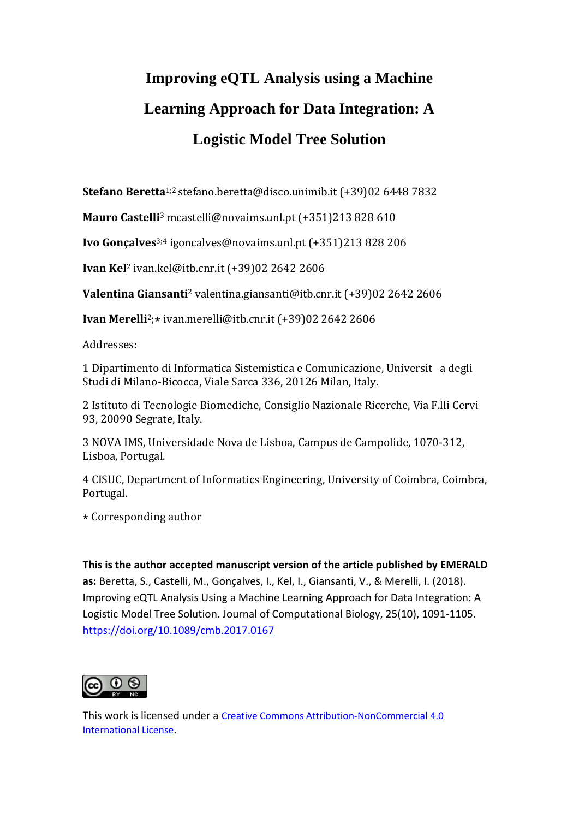# **Improving eQTL Analysis using a Machine Learning Approach for Data Integration: A Logistic Model Tree Solution**

**Stefano Beretta**1;2 stefano.beretta@disco.unimib.it (+39)02 6448 7832

**Mauro Castelli**<sup>3</sup> mcastelli@novaims.unl.pt (+351)213 828 610

**Ivo Gonçalves**3;4 igoncalves@novaims.unl.pt (+351)213 828 206

**Ivan Kel**<sup>2</sup> ivan.kel@itb.cnr.it (+39)02 2642 2606

**Valentina Giansanti**<sup>2</sup> valentina.giansanti@itb.cnr.it (+39)02 2642 2606

**Ivan Merelli**<sup>2</sup>;★ ivan.merelli@itb.cnr.it (+39)02 2642 2606

Addresses:

1 Dipartimento di Informatica Sistemistica e Comunicazione, Universit a degli Studi di Milano-Bicocca, Viale Sarca 336, 20126 Milan, Italy.

2 Istituto di Tecnologie Biomediche, Consiglio Nazionale Ricerche, Via F.lli Cervi 93, 20090 Segrate, Italy.

3 NOVA IMS, Universidade Nova de Lisboa, Campus de Campolide, 1070-312, Lisboa, Portugal.

4 CISUC, Department of Informatics Engineering, University of Coimbra, Coimbra, Portugal.

 $\star$  Corresponding author

**This is the author accepted manuscript version of the article published by EMERALD as:** Beretta, S., Castelli, M., Gonçalves, I., Kel, I., Giansanti, V., & Merelli, I. (2018). Improving eQTL Analysis Using a Machine Learning Approach for Data Integration: A Logistic Model Tree Solution. Journal of Computational Biology, 25(10), 1091-1105. <https://doi.org/10.1089/cmb.2017.0167>



This work is licensed under a [Creative Commons Attribution-NonCommercial 4.0](http://creativecommons.org/licenses/by-nc/4.0/)  [International License](http://creativecommons.org/licenses/by-nc/4.0/).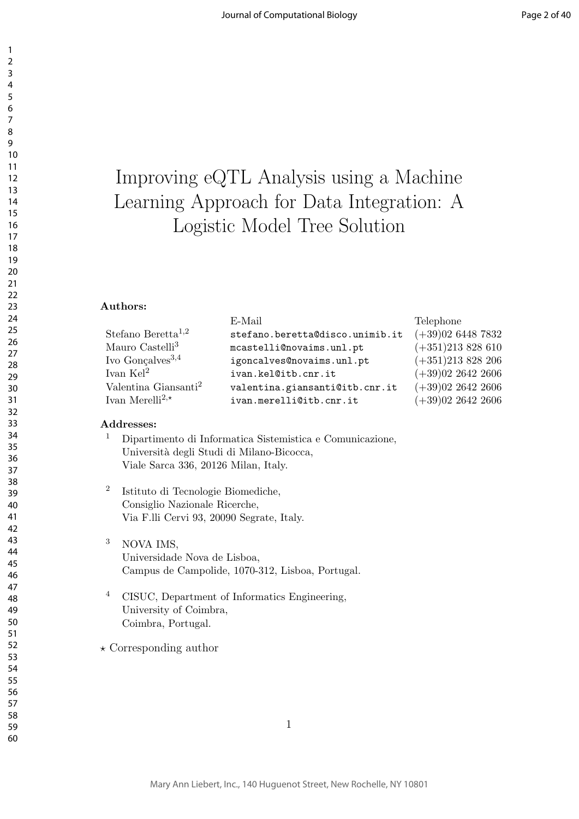## Improving eQTL Analysis using a Machine Learning Approach for Data Integration: A Logistic Model Tree Solution

#### **Authors:**

|                                  | E-Mail                          | Telephone           |
|----------------------------------|---------------------------------|---------------------|
| Stefano Beretta <sup>1,2</sup>   | stefano.beretta@disco.unimib.it | $(+39)0264487832$   |
| Mauro Castelli <sup>3</sup>      | mcastelli@novaims.unl.pt        | $(+351)213828610$   |
| Ivo Gonçalves <sup>3,4</sup>     | igoncalves@novaims.unl.pt       | $(+351)213828206$   |
| Ivan $\rm Kel^2$                 | ivan.kel@itb.cnr.it             | $(+39)02$ 2642 2606 |
| Valentina Giansanti <sup>2</sup> | valentina.giansanti@itb.cnr.it  | $(+39)02$ 2642 2606 |
| Ivan Merelli <sup>2,*</sup>      | ivan.merelli@itb.cnr.it         | $(+39)02$ 2642 2606 |
|                                  |                                 |                     |

#### **Addresses:**

- Dipartimento di Informatica Sistemistica e Comunicazione, Università degli Studi di Milano-Bicocca, Viale Sarca 336, 20126 Milan, Italy.
- Istituto di Tecnologie Biomediche, Consiglio Nazionale Ricerche, Via F.lli Cervi 93, 20090 Segrate, Italy.
- <sup>3</sup> NOVA IMS, Universidade Nova de Lisboa, Campus de Campolide, 1070-312, Lisboa, Portugal.
- CISUC, Department of Informatics Engineering, University of Coimbra, Coimbra, Portugal.
- *⋆* Corresponding author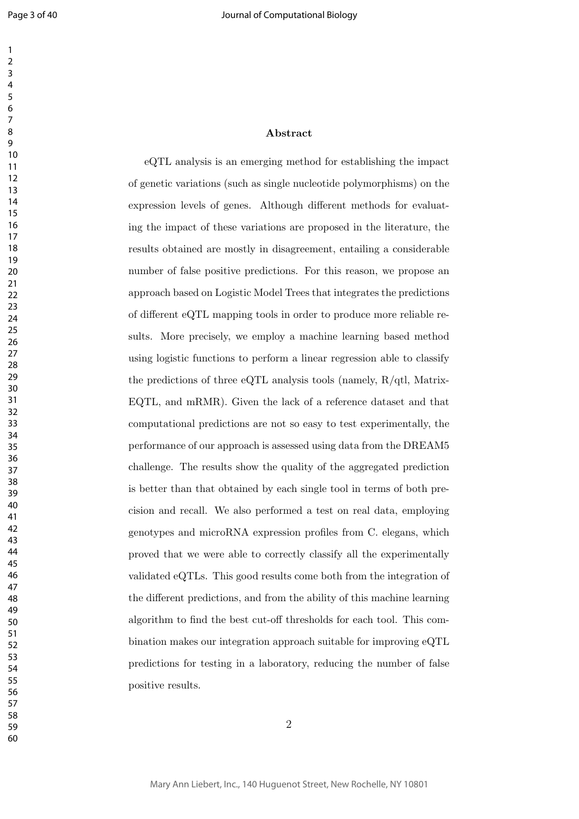#### 

#### **Abstract**

eQTL analysis is an emerging method for establishing the impact of genetic variations (such as single nucleotide polymorphisms) on the expression levels of genes. Although different methods for evaluating the impact of these variations are proposed in the literature, the results obtained are mostly in disagreement, entailing a considerable number of false positive predictions. For this reason, we propose an approach based on Logistic Model Trees that integrates the predictions of different eQTL mapping tools in order to produce more reliable results. More precisely, we employ a machine learning based method using logistic functions to perform a linear regression able to classify the predictions of three eQTL analysis tools (namely, R/qtl, Matrix-EQTL, and mRMR). Given the lack of a reference dataset and that computational predictions are not so easy to test experimentally, the performance of our approach is assessed using data from the DREAM5 challenge. The results show the quality of the aggregated prediction is better than that obtained by each single tool in terms of both precision and recall. We also performed a test on real data, employing genotypes and microRNA expression profiles from C. elegans, which proved that we were able to correctly classify all the experimentally validated eQTLs. This good results come both from the integration of the different predictions, and from the ability of this machine learning algorithm to find the best cut-off thresholds for each tool. This combination makes our integration approach suitable for improving eQTL predictions for testing in a laboratory, reducing the number of false positive results.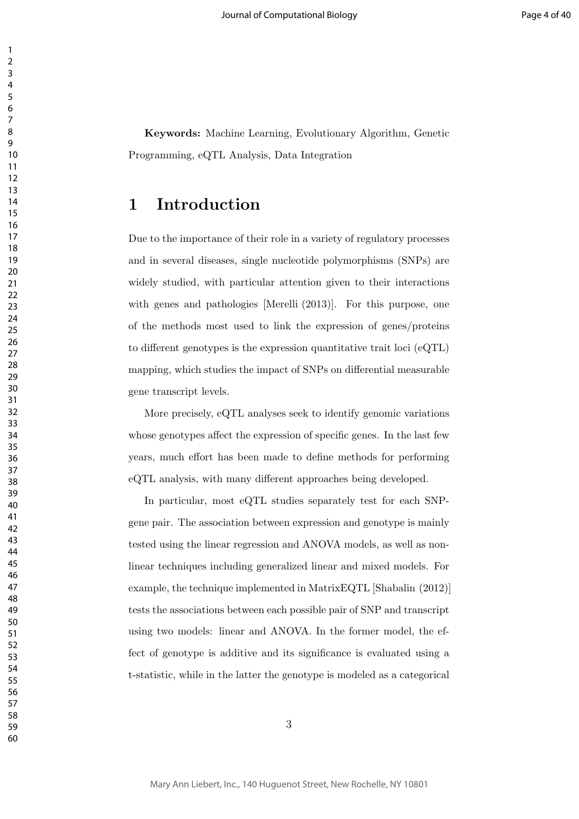**Keywords:** Machine Learning, Evolutionary Algorithm, Genetic Programming, eQTL Analysis, Data Integration

### **1 Introduction**

Due to the importance of their role in a variety of regulatory processes and in several diseases, single nucleotide polymorphisms (SNPs) are widely studied, with particular attention given to their interactions with genes and pathologies [Merelli (2013)]. For this purpose, one of the methods most used to link the expression of genes/proteins to different genotypes is the expression quantitative trait loci (eQTL) mapping, which studies the impact of SNPs on differential measurable gene transcript levels.

More precisely, eQTL analyses seek to identify genomic variations whose genotypes affect the expression of specific genes. In the last few years, much effort has been made to define methods for performing eQTL analysis, with many different approaches being developed.

In particular, most eQTL studies separately test for each SNPgene pair. The association between expression and genotype is mainly tested using the linear regression and ANOVA models, as well as nonlinear techniques including generalized linear and mixed models. For example, the technique implemented in MatrixEQTL [Shabalin (2012)] tests the associations between each possible pair of SNP and transcript using two models: linear and ANOVA. In the former model, the effect of genotype is additive and its significance is evaluated using a t-statistic, while in the latter the genotype is modeled as a categorical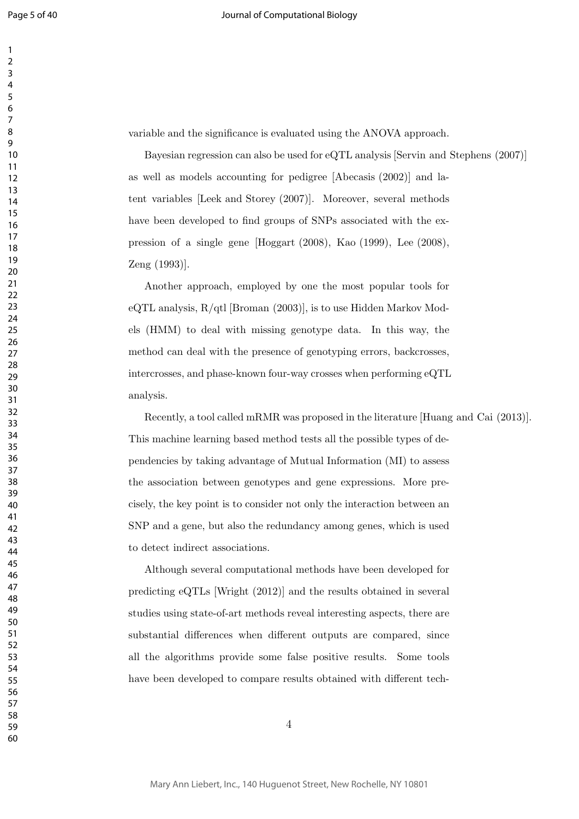variable and the significance is evaluated using the ANOVA approach.

Bayesian regression can also be used for eQTL analysis [Servin and Stephens (2007)] as well as models accounting for pedigree [Abecasis (2002)] and latent variables [Leek and Storey (2007)]. Moreover, several methods have been developed to find groups of SNPs associated with the expression of a single gene [Hoggart (2008), Kao (1999), Lee (2008), Zeng (1993)].

Another approach, employed by one the most popular tools for eQTL analysis,  $R/dt$  [Broman (2003)], is to use Hidden Markov Models (HMM) to deal with missing genotype data. In this way, the method can deal with the presence of genotyping errors, backcrosses, intercrosses, and phase-known four-way crosses when performing eQTL analysis.

Recently, a tool called mRMR was proposed in the literature [Huang and Cai (2013)]. This machine learning based method tests all the possible types of dependencies by taking advantage of Mutual Information (MI) to assess the association between genotypes and gene expressions. More precisely, the key point is to consider not only the interaction between an SNP and a gene, but also the redundancy among genes, which is used to detect indirect associations.

Although several computational methods have been developed for predicting eQTLs [Wright (2012)] and the results obtained in several studies using state-of-art methods reveal interesting aspects, there are substantial differences when different outputs are compared, since all the algorithms provide some false positive results. Some tools have been developed to compare results obtained with different tech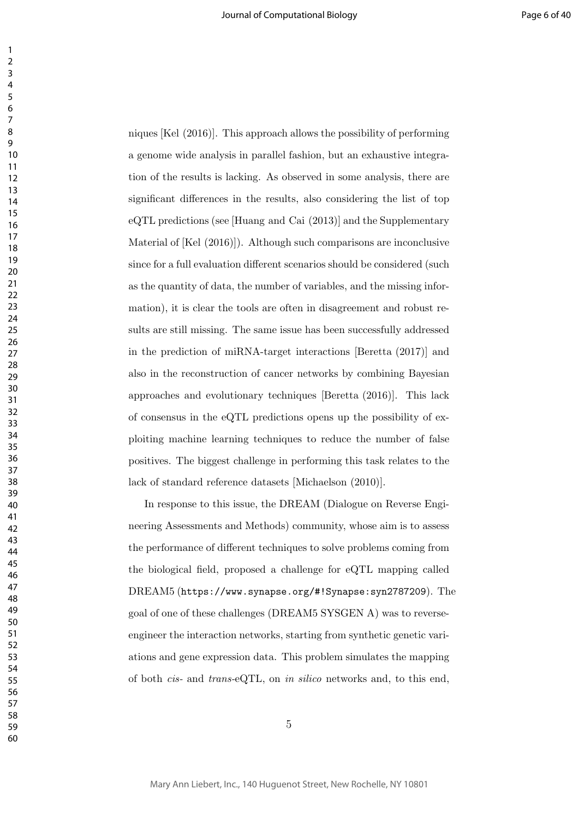niques [Kel (2016)]. This approach allows the possibility of performing a genome wide analysis in parallel fashion, but an exhaustive integration of the results is lacking. As observed in some analysis, there are significant differences in the results, also considering the list of top eQTL predictions (see [Huang and Cai (2013)] and the Supplementary Material of [Kel (2016)]). Although such comparisons are inconclusive since for a full evaluation different scenarios should be considered (such as the quantity of data, the number of variables, and the missing information), it is clear the tools are often in disagreement and robust results are still missing. The same issue has been successfully addressed in the prediction of miRNA-target interactions [Beretta (2017)] and also in the reconstruction of cancer networks by combining Bayesian approaches and evolutionary techniques [Beretta (2016)]. This lack of consensus in the eQTL predictions opens up the possibility of exploiting machine learning techniques to reduce the number of false positives. The biggest challenge in performing this task relates to the lack of standard reference datasets [Michaelson (2010)].

In response to this issue, the DREAM (Dialogue on Reverse Engineering Assessments and Methods) community, whose aim is to assess the performance of different techniques to solve problems coming from the biological field, proposed a challenge for eQTL mapping called DREAM5 (https://www.synapse.org/#!Synapse:syn2787209). The goal of one of these challenges (DREAM5 SYSGEN A) was to reverseengineer the interaction networks, starting from synthetic genetic variations and gene expression data. This problem simulates the mapping of both *cis-* and *trans-*eQTL, on *in silico* networks and, to this end,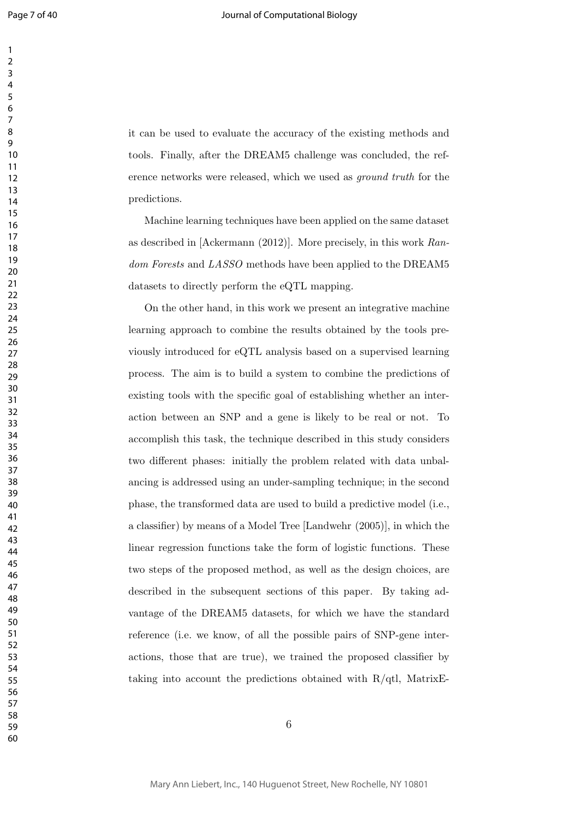it can be used to evaluate the accuracy of the existing methods and tools. Finally, after the DREAM5 challenge was concluded, the reference networks were released, which we used as *ground truth* for the predictions.

Machine learning techniques have been applied on the same dataset as described in [Ackermann (2012)]. More precisely, in this work *Random Forests* and *LASSO* methods have been applied to the DREAM5 datasets to directly perform the eQTL mapping.

On the other hand, in this work we present an integrative machine learning approach to combine the results obtained by the tools previously introduced for eQTL analysis based on a supervised learning process. The aim is to build a system to combine the predictions of existing tools with the specific goal of establishing whether an interaction between an SNP and a gene is likely to be real or not. To accomplish this task, the technique described in this study considers two different phases: initially the problem related with data unbalancing is addressed using an under-sampling technique; in the second phase, the transformed data are used to build a predictive model (i.e., a classifier) by means of a Model Tree [Landwehr (2005)], in which the linear regression functions take the form of logistic functions. These two steps of the proposed method, as well as the design choices, are described in the subsequent sections of this paper. By taking advantage of the DREAM5 datasets, for which we have the standard reference (i.e. we know, of all the possible pairs of SNP-gene interactions, those that are true), we trained the proposed classifier by taking into account the predictions obtained with R/qtl, MatrixE-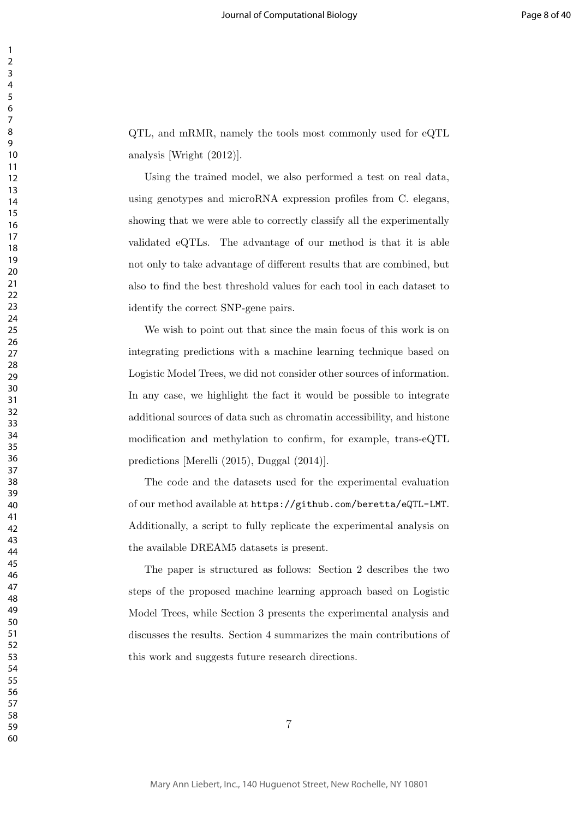QTL, and mRMR, namely the tools most commonly used for eQTL analysis [Wright (2012)].

Using the trained model, we also performed a test on real data, using genotypes and microRNA expression profiles from C. elegans, showing that we were able to correctly classify all the experimentally validated eQTLs. The advantage of our method is that it is able not only to take advantage of different results that are combined, but also to find the best threshold values for each tool in each dataset to identify the correct SNP-gene pairs.

We wish to point out that since the main focus of this work is on integrating predictions with a machine learning technique based on Logistic Model Trees, we did not consider other sources of information. In any case, we highlight the fact it would be possible to integrate additional sources of data such as chromatin accessibility, and histone modification and methylation to confirm, for example, trans-eQTL predictions [Merelli (2015), Duggal (2014)].

The code and the datasets used for the experimental evaluation of our method available at https://github.com/beretta/eQTL-LMT. Additionally, a script to fully replicate the experimental analysis on the available DREAM5 datasets is present.

The paper is structured as follows: Section 2 describes the two steps of the proposed machine learning approach based on Logistic Model Trees, while Section 3 presents the experimental analysis and discusses the results. Section 4 summarizes the main contributions of this work and suggests future research directions.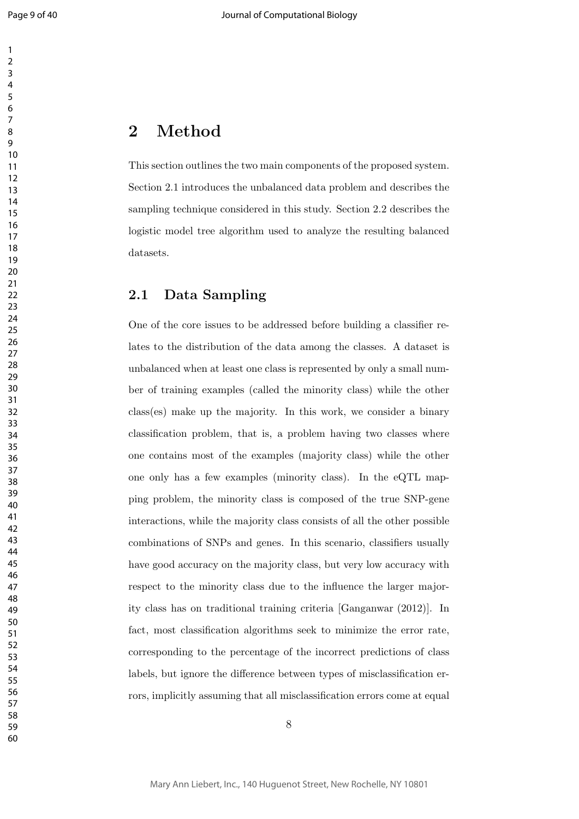### **2 Method**

This section outlines the two main components of the proposed system. Section 2.1 introduces the unbalanced data problem and describes the sampling technique considered in this study. Section 2.2 describes the logistic model tree algorithm used to analyze the resulting balanced datasets.

#### **2.1 Data Sampling**

One of the core issues to be addressed before building a classifier relates to the distribution of the data among the classes. A dataset is unbalanced when at least one class is represented by only a small number of training examples (called the minority class) while the other class(es) make up the majority. In this work, we consider a binary classification problem, that is, a problem having two classes where one contains most of the examples (majority class) while the other one only has a few examples (minority class). In the eQTL mapping problem, the minority class is composed of the true SNP-gene interactions, while the majority class consists of all the other possible combinations of SNPs and genes. In this scenario, classifiers usually have good accuracy on the majority class, but very low accuracy with respect to the minority class due to the influence the larger majority class has on traditional training criteria [Ganganwar (2012)]. In fact, most classification algorithms seek to minimize the error rate, corresponding to the percentage of the incorrect predictions of class labels, but ignore the difference between types of misclassification errors, implicitly assuming that all misclassification errors come at equal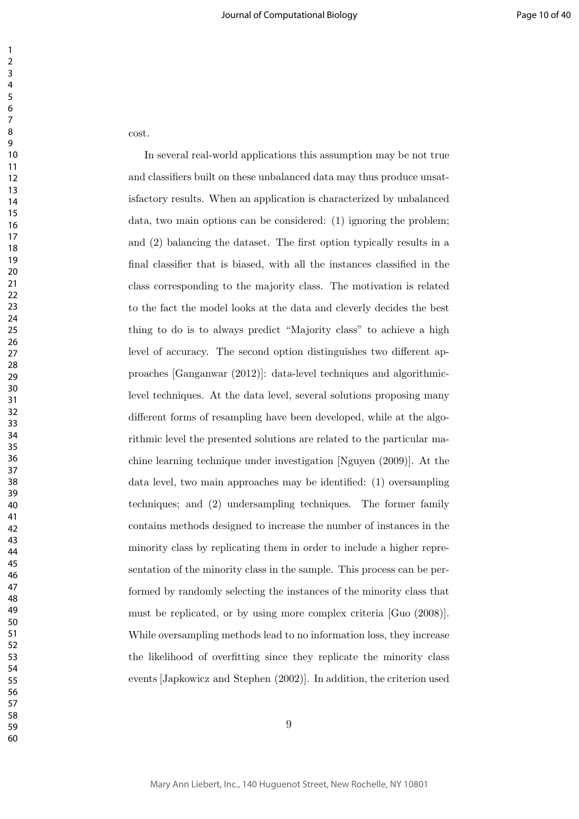cost.

In several real-world applications this assumption may be not true and classifiers built on these unbalanced data may thus produce unsatisfactory results. When an application is characterized by unbalanced data, two main options can be considered: (1) ignoring the problem; and (2) balancing the dataset. The first option typically results in a final classifier that is biased, with all the instances classified in the class corresponding to the majority class. The motivation is related to the fact the model looks at the data and cleverly decides the best thing to do is to always predict "Majority class" to achieve a high level of accuracy. The second option distinguishes two different approaches [Ganganwar (2012)]: data-level techniques and algorithmiclevel techniques. At the data level, several solutions proposing many different forms of resampling have been developed, while at the algorithmic level the presented solutions are related to the particular machine learning technique under investigation [Nguyen (2009)]. At the data level, two main approaches may be identified: (1) oversampling techniques; and (2) undersampling techniques. The former family contains methods designed to increase the number of instances in the minority class by replicating them in order to include a higher representation of the minority class in the sample. This process can be performed by randomly selecting the instances of the minority class that must be replicated, or by using more complex criteria [Guo (2008)]. While oversampling methods lead to no information loss, they increase the likelihood of overfitting since they replicate the minority class events [Japkowicz and Stephen (2002)]. In addition, the criterion used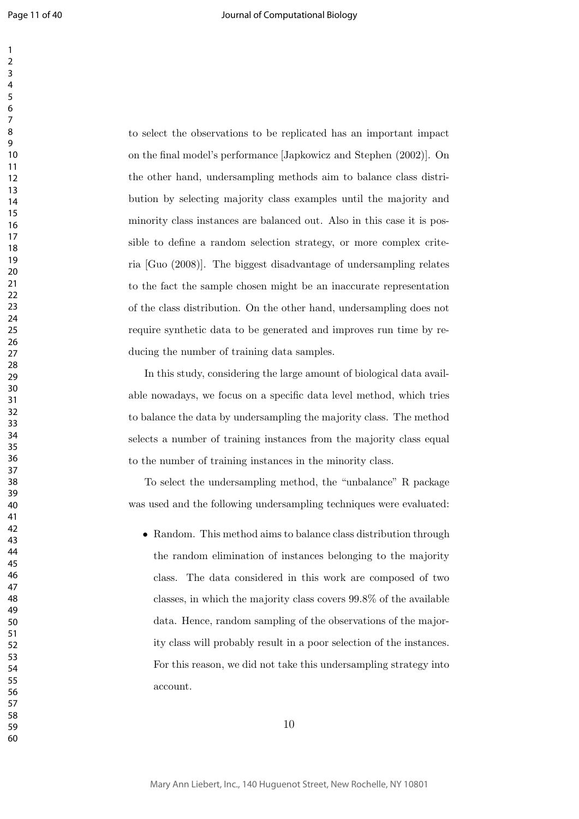to select the observations to be replicated has an important impact on the final model's performance [Japkowicz and Stephen (2002)]. On the other hand, undersampling methods aim to balance class distribution by selecting majority class examples until the majority and minority class instances are balanced out. Also in this case it is possible to define a random selection strategy, or more complex criteria [Guo (2008)]. The biggest disadvantage of undersampling relates to the fact the sample chosen might be an inaccurate representation of the class distribution. On the other hand, undersampling does not require synthetic data to be generated and improves run time by reducing the number of training data samples.

In this study, considering the large amount of biological data available nowadays, we focus on a specific data level method, which tries to balance the data by undersampling the majority class. The method selects a number of training instances from the majority class equal to the number of training instances in the minority class.

To select the undersampling method, the "unbalance" R package was used and the following undersampling techniques were evaluated:

• Random. This method aims to balance class distribution through the random elimination of instances belonging to the majority class. The data considered in this work are composed of two classes, in which the majority class covers 99*.*8% of the available data. Hence, random sampling of the observations of the majority class will probably result in a poor selection of the instances. For this reason, we did not take this undersampling strategy into account.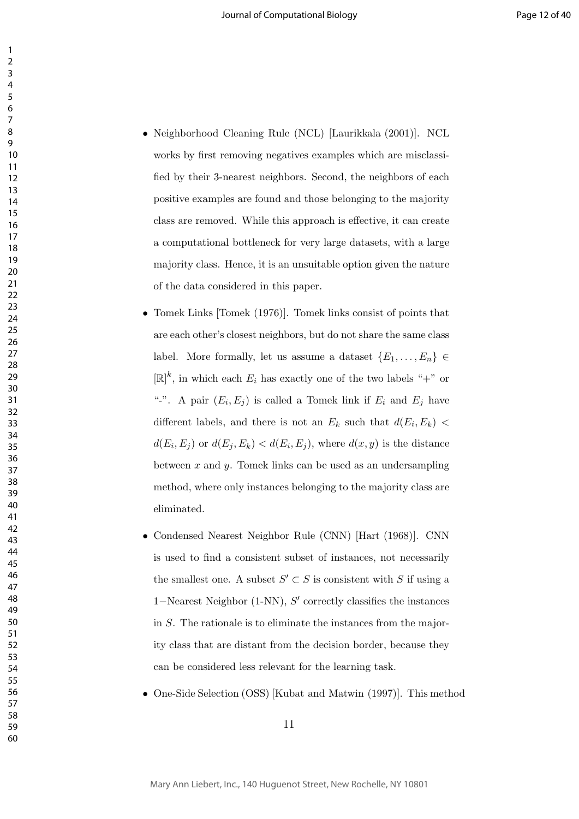- Neighborhood Cleaning Rule (NCL) [Laurikkala (2001)]. NCL works by first removing negatives examples which are misclassified by their 3-nearest neighbors. Second, the neighbors of each positive examples are found and those belonging to the majority class are removed. While this approach is effective, it can create a computational bottleneck for very large datasets, with a large majority class. Hence, it is an unsuitable option given the nature of the data considered in this paper.
- Tomek Links [Tomek (1976)]. Tomek links consist of points that are each other's closest neighbors, but do not share the same class label. More formally, let us assume a dataset  ${E_1, \ldots, E_n} \in$  $[\mathbb{R}]^k$ , in which each  $E_i$  has exactly one of the two labels "+" or "-". A pair  $(E_i, E_j)$  is called a Tomek link if  $E_i$  and  $E_j$  have different labels, and there is not an  $E_k$  such that  $d(E_i, E_k)$  $d(E_i, E_j)$  or  $d(E_j, E_k) < d(E_i, E_j)$ , where  $d(x, y)$  is the distance between *x* and *y*. Tomek links can be used as an undersampling method, where only instances belonging to the majority class are eliminated.
- Condensed Nearest Neighbor Rule (CNN) [Hart (1968)]. CNN is used to find a consistent subset of instances, not necessarily the smallest one. A subset  $S' \subset S$  is consistent with *S* if using a *−*Nearest Neighbor (1-NN), *S ′* correctly classifies the instances in *S*. The rationale is to eliminate the instances from the majority class that are distant from the decision border, because they can be considered less relevant for the learning task.
- One-Side Selection (OSS) [Kubat and Matwin (1997)]. This method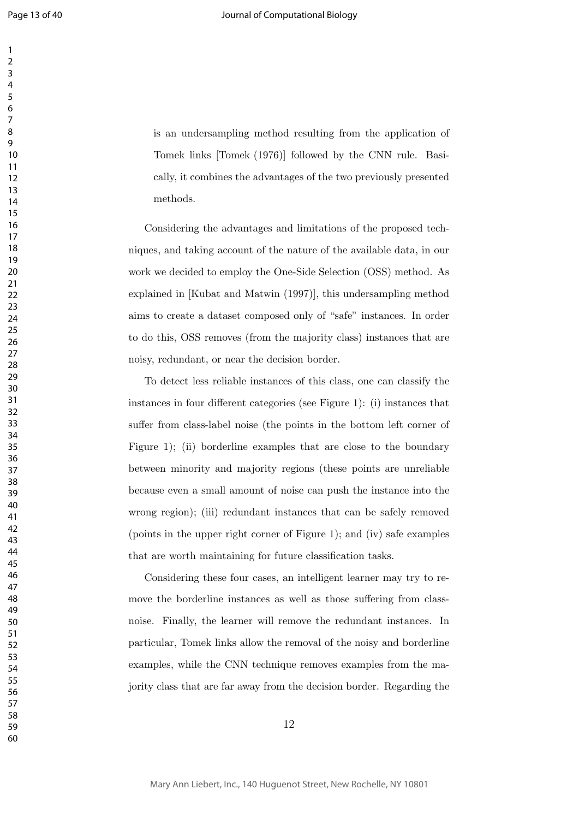is an undersampling method resulting from the application of Tomek links [Tomek (1976)] followed by the CNN rule. Basically, it combines the advantages of the two previously presented methods.

Considering the advantages and limitations of the proposed techniques, and taking account of the nature of the available data, in our work we decided to employ the One-Side Selection (OSS) method. As explained in [Kubat and Matwin (1997)], this undersampling method aims to create a dataset composed only of "safe" instances. In order to do this, OSS removes (from the majority class) instances that are noisy, redundant, or near the decision border.

To detect less reliable instances of this class, one can classify the instances in four different categories (see Figure 1): (i) instances that suffer from class-label noise (the points in the bottom left corner of Figure 1); (ii) borderline examples that are close to the boundary between minority and majority regions (these points are unreliable because even a small amount of noise can push the instance into the wrong region); (iii) redundant instances that can be safely removed (points in the upper right corner of Figure 1); and (iv) safe examples that are worth maintaining for future classification tasks.

Considering these four cases, an intelligent learner may try to remove the borderline instances as well as those suffering from classnoise. Finally, the learner will remove the redundant instances. In particular, Tomek links allow the removal of the noisy and borderline examples, while the CNN technique removes examples from the majority class that are far away from the decision border. Regarding the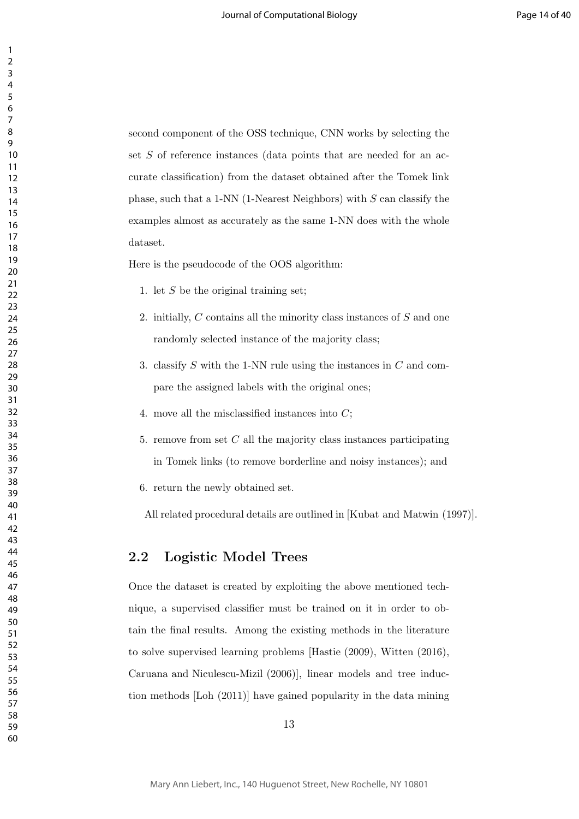second component of the OSS technique, CNN works by selecting the set *S* of reference instances (data points that are needed for an accurate classification) from the dataset obtained after the Tomek link phase, such that a 1-NN (1-Nearest Neighbors) with *S* can classify the examples almost as accurately as the same 1-NN does with the whole dataset.

Here is the pseudocode of the OOS algorithm:

1. let *S* be the original training set;

- 2. initially, *C* contains all the minority class instances of *S* and one randomly selected instance of the majority class;
- 3. classify *S* with the 1-NN rule using the instances in *C* and compare the assigned labels with the original ones;
- 4. move all the misclassified instances into *C*;
- 5. remove from set *C* all the majority class instances participating in Tomek links (to remove borderline and noisy instances); and
- 6. return the newly obtained set.

All related procedural details are outlined in [Kubat and Matwin (1997)].

#### **2.2 Logistic Model Trees**

Once the dataset is created by exploiting the above mentioned technique, a supervised classifier must be trained on it in order to obtain the final results. Among the existing methods in the literature to solve supervised learning problems [Hastie (2009), Witten (2016), Caruana and Niculescu-Mizil (2006)], linear models and tree induction methods [Loh (2011)] have gained popularity in the data mining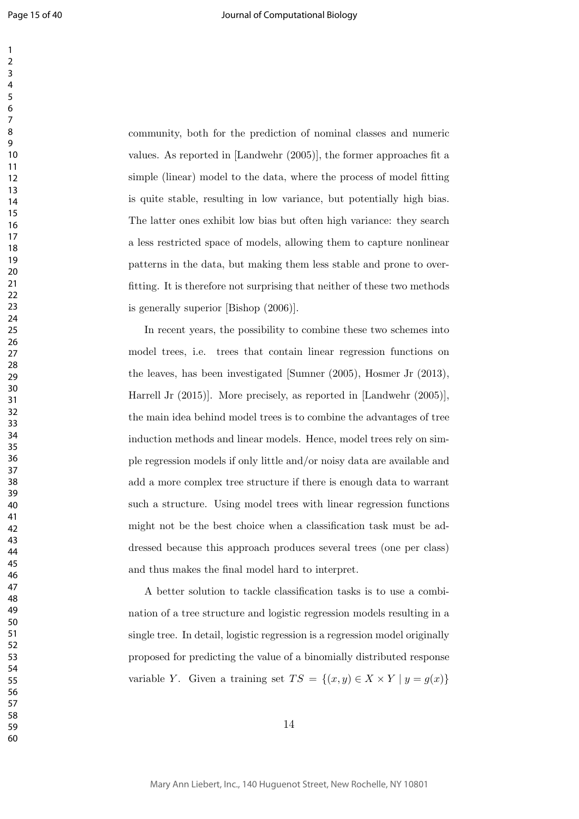community, both for the prediction of nominal classes and numeric values. As reported in [Landwehr (2005)], the former approaches fit a simple (linear) model to the data, where the process of model fitting is quite stable, resulting in low variance, but potentially high bias. The latter ones exhibit low bias but often high variance: they search a less restricted space of models, allowing them to capture nonlinear patterns in the data, but making them less stable and prone to overfitting. It is therefore not surprising that neither of these two methods is generally superior [Bishop (2006)].

In recent years, the possibility to combine these two schemes into model trees, i.e. trees that contain linear regression functions on the leaves, has been investigated [Sumner (2005), Hosmer Jr (2013), Harrell Jr (2015)]. More precisely, as reported in [Landwehr (2005)], the main idea behind model trees is to combine the advantages of tree induction methods and linear models. Hence, model trees rely on simple regression models if only little and/or noisy data are available and add a more complex tree structure if there is enough data to warrant such a structure. Using model trees with linear regression functions might not be the best choice when a classification task must be addressed because this approach produces several trees (one per class) and thus makes the final model hard to interpret.

A better solution to tackle classification tasks is to use a combination of a tree structure and logistic regression models resulting in a single tree. In detail, logistic regression is a regression model originally proposed for predicting the value of a binomially distributed response variable *Y*. Given a training set  $TS = \{(x, y) \in X \times Y | y = g(x)\}\$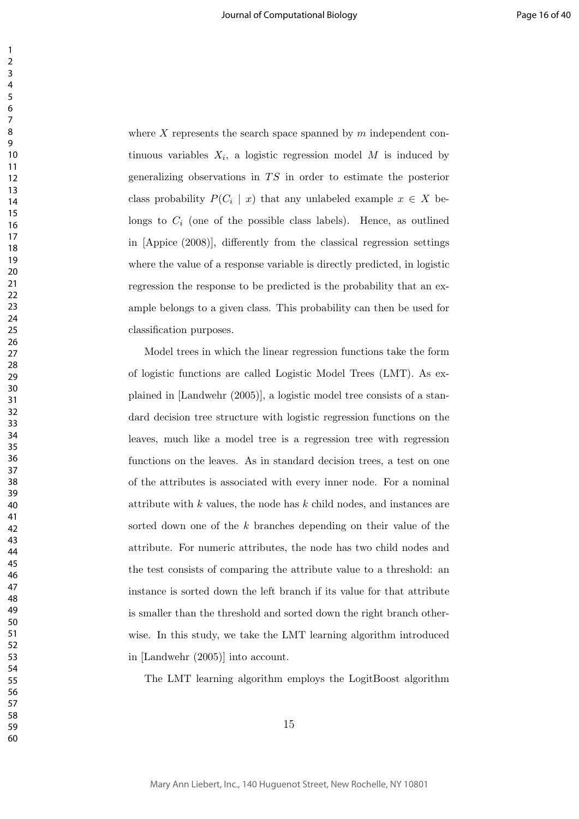where *X* represents the search space spanned by *m* independent continuous variables  $X_i$ , a logistic regression model  $M$  is induced by generalizing observations in *T S* in order to estimate the posterior class probability  $P(C_i \mid x)$  that any unlabeled example  $x \in X$  belongs to  $C_i$  (one of the possible class labels). Hence, as outlined in [Appice (2008)], differently from the classical regression settings where the value of a response variable is directly predicted, in logistic regression the response to be predicted is the probability that an example belongs to a given class. This probability can then be used for classification purposes.

Model trees in which the linear regression functions take the form of logistic functions are called Logistic Model Trees (LMT). As explained in [Landwehr (2005)], a logistic model tree consists of a standard decision tree structure with logistic regression functions on the leaves, much like a model tree is a regression tree with regression functions on the leaves. As in standard decision trees, a test on one of the attributes is associated with every inner node. For a nominal attribute with *k* values, the node has *k* child nodes, and instances are sorted down one of the *k* branches depending on their value of the attribute. For numeric attributes, the node has two child nodes and the test consists of comparing the attribute value to a threshold: an instance is sorted down the left branch if its value for that attribute is smaller than the threshold and sorted down the right branch otherwise. In this study, we take the LMT learning algorithm introduced in [Landwehr (2005)] into account.

The LMT learning algorithm employs the LogitBoost algorithm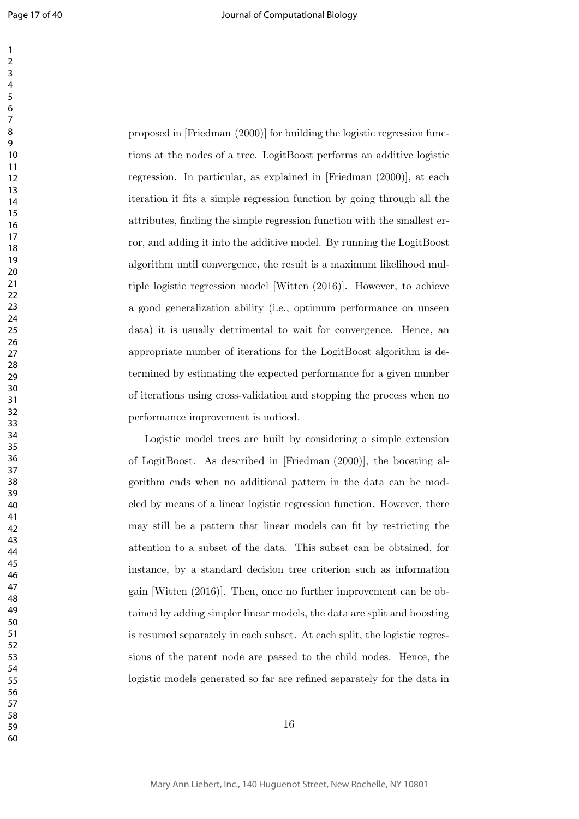proposed in [Friedman (2000)] for building the logistic regression functions at the nodes of a tree. LogitBoost performs an additive logistic regression. In particular, as explained in [Friedman (2000)], at each iteration it fits a simple regression function by going through all the attributes, finding the simple regression function with the smallest error, and adding it into the additive model. By running the LogitBoost algorithm until convergence, the result is a maximum likelihood multiple logistic regression model [Witten (2016)]. However, to achieve a good generalization ability (i.e., optimum performance on unseen data) it is usually detrimental to wait for convergence. Hence, an appropriate number of iterations for the LogitBoost algorithm is determined by estimating the expected performance for a given number of iterations using cross-validation and stopping the process when no performance improvement is noticed.

Logistic model trees are built by considering a simple extension of LogitBoost. As described in [Friedman (2000)], the boosting algorithm ends when no additional pattern in the data can be modeled by means of a linear logistic regression function. However, there may still be a pattern that linear models can fit by restricting the attention to a subset of the data. This subset can be obtained, for instance, by a standard decision tree criterion such as information gain [Witten (2016)]. Then, once no further improvement can be obtained by adding simpler linear models, the data are split and boosting is resumed separately in each subset. At each split, the logistic regressions of the parent node are passed to the child nodes. Hence, the logistic models generated so far are refined separately for the data in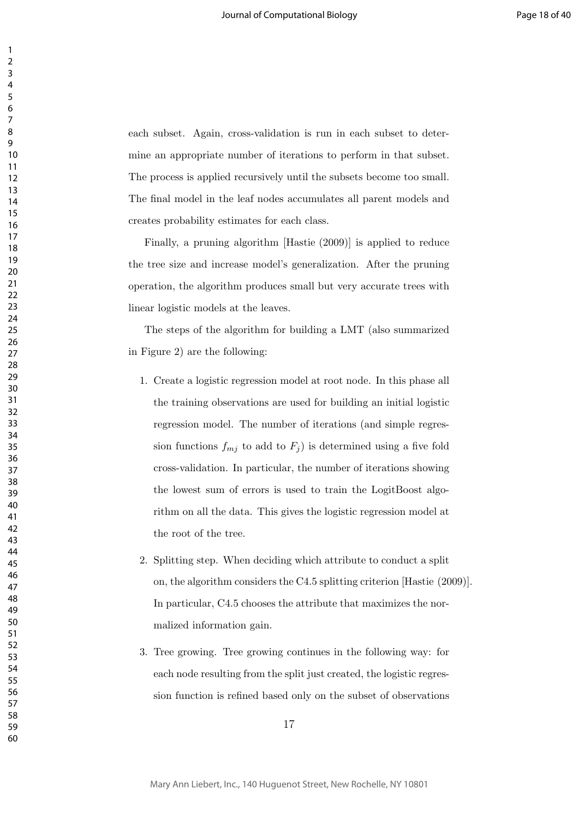each subset. Again, cross-validation is run in each subset to determine an appropriate number of iterations to perform in that subset. The process is applied recursively until the subsets become too small. The final model in the leaf nodes accumulates all parent models and creates probability estimates for each class.

Finally, a pruning algorithm [Hastie (2009)] is applied to reduce the tree size and increase model's generalization. After the pruning operation, the algorithm produces small but very accurate trees with linear logistic models at the leaves.

The steps of the algorithm for building a LMT (also summarized in Figure 2) are the following:

- 1. Create a logistic regression model at root node. In this phase all the training observations are used for building an initial logistic regression model. The number of iterations (and simple regression functions  $f_{mj}$  to add to  $F_j$  is determined using a five fold cross-validation. In particular, the number of iterations showing the lowest sum of errors is used to train the LogitBoost algorithm on all the data. This gives the logistic regression model at the root of the tree.
- 2. Splitting step. When deciding which attribute to conduct a split on, the algorithm considers the C4.5 splitting criterion [Hastie (2009)]. In particular, C4.5 chooses the attribute that maximizes the normalized information gain.
- 3. Tree growing. Tree growing continues in the following way: for each node resulting from the split just created, the logistic regression function is refined based only on the subset of observations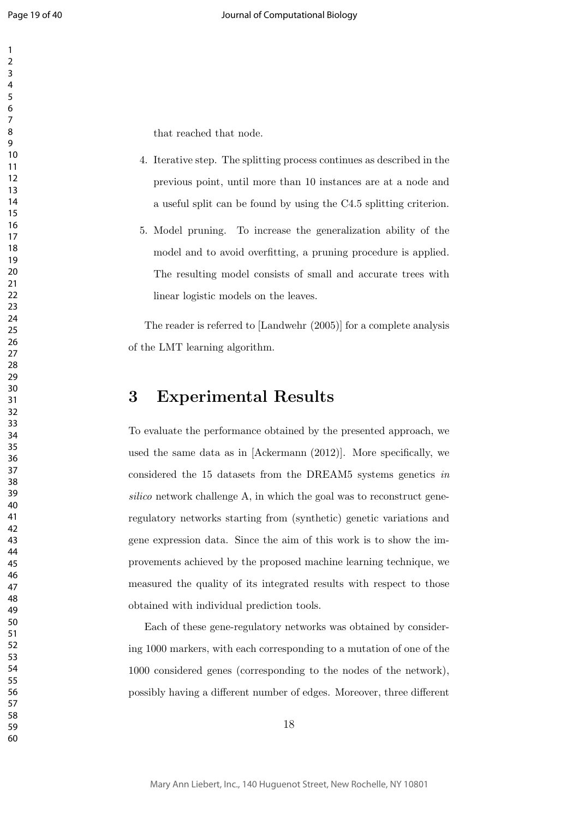that reached that node.

- 4. Iterative step. The splitting process continues as described in the previous point, until more than 10 instances are at a node and a useful split can be found by using the C4.5 splitting criterion.
- 5. Model pruning. To increase the generalization ability of the model and to avoid overfitting, a pruning procedure is applied. The resulting model consists of small and accurate trees with linear logistic models on the leaves.

The reader is referred to [Landwehr (2005)] for a complete analysis of the LMT learning algorithm.

### **3 Experimental Results**

To evaluate the performance obtained by the presented approach, we used the same data as in [Ackermann (2012)]. More specifically, we considered the 15 datasets from the DREAM5 systems genetics *in silico* network challenge A, in which the goal was to reconstruct generegulatory networks starting from (synthetic) genetic variations and gene expression data. Since the aim of this work is to show the improvements achieved by the proposed machine learning technique, we measured the quality of its integrated results with respect to those obtained with individual prediction tools.

Each of these gene-regulatory networks was obtained by considering 1000 markers, with each corresponding to a mutation of one of the 1000 considered genes (corresponding to the nodes of the network), possibly having a different number of edges. Moreover, three different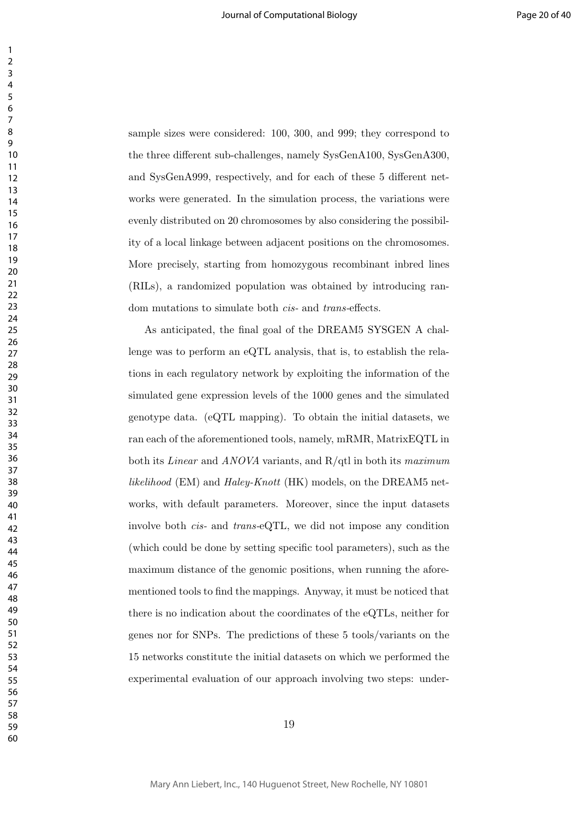sample sizes were considered: 100, 300, and 999; they correspond to the three different sub-challenges, namely SysGenA100, SysGenA300, and SysGenA999, respectively, and for each of these 5 different networks were generated. In the simulation process, the variations were evenly distributed on 20 chromosomes by also considering the possibility of a local linkage between adjacent positions on the chromosomes. More precisely, starting from homozygous recombinant inbred lines (RILs), a randomized population was obtained by introducing random mutations to simulate both *cis-* and *trans-*effects.

As anticipated, the final goal of the DREAM5 SYSGEN A challenge was to perform an eQTL analysis, that is, to establish the relations in each regulatory network by exploiting the information of the simulated gene expression levels of the 1000 genes and the simulated genotype data. (eQTL mapping). To obtain the initial datasets, we ran each of the aforementioned tools, namely, mRMR, MatrixEQTL in both its *Linear* and *ANOVA* variants, and R/qtl in both its *maximum likelihood* (EM) and *Haley-Knott* (HK) models, on the DREAM5 networks, with default parameters. Moreover, since the input datasets involve both *cis-* and *trans-*eQTL, we did not impose any condition (which could be done by setting specific tool parameters), such as the maximum distance of the genomic positions, when running the aforementioned tools to find the mappings. Anyway, it must be noticed that there is no indication about the coordinates of the eQTLs, neither for genes nor for SNPs. The predictions of these 5 tools/variants on the 15 networks constitute the initial datasets on which we performed the experimental evaluation of our approach involving two steps: under-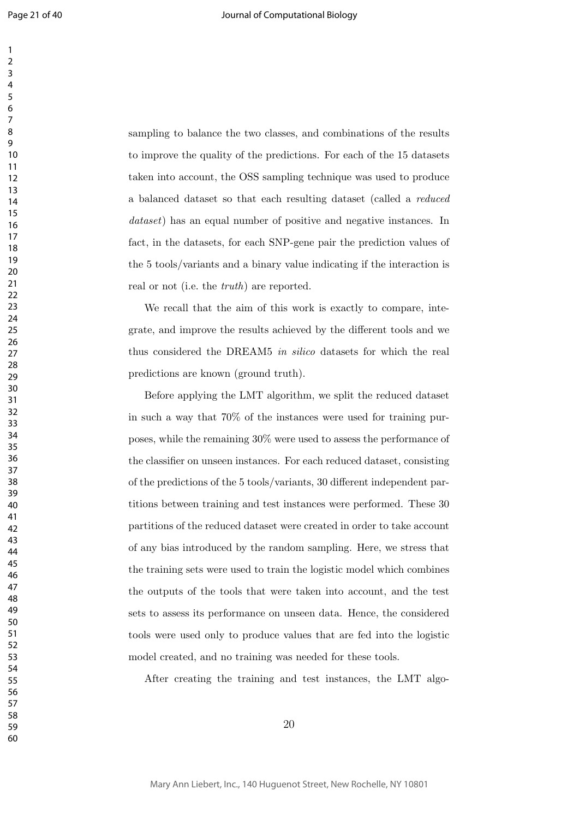sampling to balance the two classes, and combinations of the results to improve the quality of the predictions. For each of the 15 datasets taken into account, the OSS sampling technique was used to produce a balanced dataset so that each resulting dataset (called a *reduced dataset*) has an equal number of positive and negative instances. In fact, in the datasets, for each SNP-gene pair the prediction values of the 5 tools/variants and a binary value indicating if the interaction is real or not (i.e. the *truth*) are reported.

We recall that the aim of this work is exactly to compare, integrate, and improve the results achieved by the different tools and we thus considered the DREAM5 *in silico* datasets for which the real predictions are known (ground truth).

Before applying the LMT algorithm, we split the reduced dataset in such a way that 70% of the instances were used for training purposes, while the remaining 30% were used to assess the performance of the classifier on unseen instances. For each reduced dataset, consisting of the predictions of the 5 tools/variants, 30 different independent partitions between training and test instances were performed. These 30 partitions of the reduced dataset were created in order to take account of any bias introduced by the random sampling. Here, we stress that the training sets were used to train the logistic model which combines the outputs of the tools that were taken into account, and the test sets to assess its performance on unseen data. Hence, the considered tools were used only to produce values that are fed into the logistic model created, and no training was needed for these tools.

After creating the training and test instances, the LMT algo-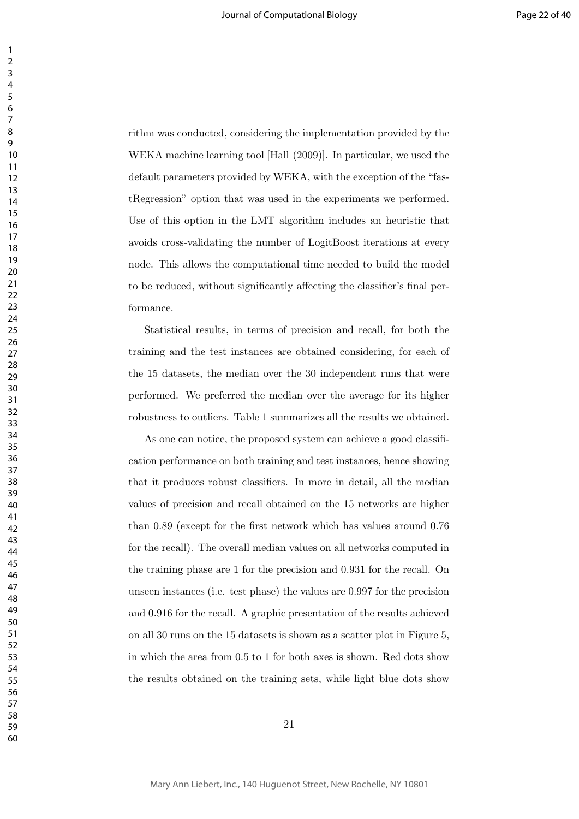rithm was conducted, considering the implementation provided by the WEKA machine learning tool [Hall (2009)]. In particular, we used the default parameters provided by WEKA, with the exception of the "fastRegression" option that was used in the experiments we performed. Use of this option in the LMT algorithm includes an heuristic that avoids cross-validating the number of LogitBoost iterations at every node. This allows the computational time needed to build the model to be reduced, without significantly affecting the classifier's final performance.

Statistical results, in terms of precision and recall, for both the training and the test instances are obtained considering, for each of the 15 datasets, the median over the 30 independent runs that were performed. We preferred the median over the average for its higher robustness to outliers. Table 1 summarizes all the results we obtained.

As one can notice, the proposed system can achieve a good classification performance on both training and test instances, hence showing that it produces robust classifiers. In more in detail, all the median values of precision and recall obtained on the 15 networks are higher than 0*.*89 (except for the first network which has values around 0*.*76 for the recall). The overall median values on all networks computed in the training phase are 1 for the precision and 0*.*931 for the recall. On unseen instances (i.e. test phase) the values are 0*.*997 for the precision and 0*.*916 for the recall. A graphic presentation of the results achieved on all 30 runs on the 15 datasets is shown as a scatter plot in Figure 5, in which the area from 0*.*5 to 1 for both axes is shown. Red dots show the results obtained on the training sets, while light blue dots show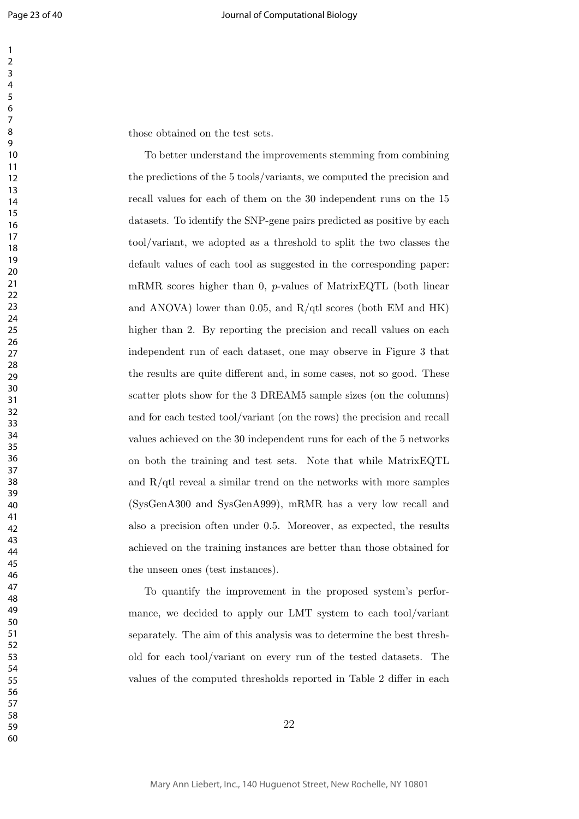those obtained on the test sets.

To better understand the improvements stemming from combining the predictions of the 5 tools/variants, we computed the precision and recall values for each of them on the 30 independent runs on the 15 datasets. To identify the SNP-gene pairs predicted as positive by each tool/variant, we adopted as a threshold to split the two classes the default values of each tool as suggested in the corresponding paper: mRMR scores higher than 0, *p*-values of MatrixEQTL (both linear and ANOVA) lower than 0*.*05, and R/qtl scores (both EM and HK) higher than 2. By reporting the precision and recall values on each independent run of each dataset, one may observe in Figure 3 that the results are quite different and, in some cases, not so good. These scatter plots show for the 3 DREAM5 sample sizes (on the columns) and for each tested tool/variant (on the rows) the precision and recall values achieved on the 30 independent runs for each of the 5 networks on both the training and test sets. Note that while MatrixEQTL and  $R/dt$  reveal a similar trend on the networks with more samples (SysGenA300 and SysGenA999), mRMR has a very low recall and also a precision often under 0*.*5. Moreover, as expected, the results achieved on the training instances are better than those obtained for the unseen ones (test instances).

To quantify the improvement in the proposed system's performance, we decided to apply our LMT system to each tool/variant separately. The aim of this analysis was to determine the best threshold for each tool/variant on every run of the tested datasets. The values of the computed thresholds reported in Table 2 differ in each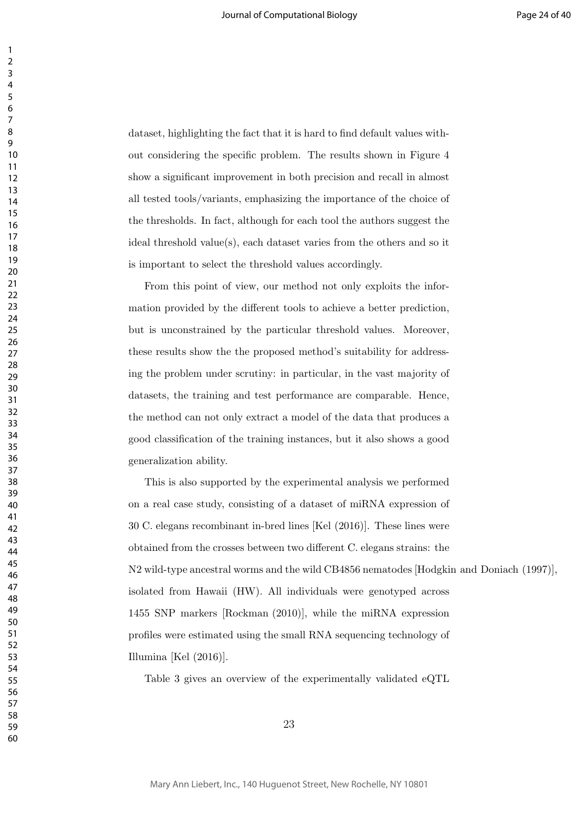dataset, highlighting the fact that it is hard to find default values without considering the specific problem. The results shown in Figure 4 show a significant improvement in both precision and recall in almost all tested tools/variants, emphasizing the importance of the choice of the thresholds. In fact, although for each tool the authors suggest the ideal threshold value(s), each dataset varies from the others and so it is important to select the threshold values accordingly.

From this point of view, our method not only exploits the information provided by the different tools to achieve a better prediction, but is unconstrained by the particular threshold values. Moreover, these results show the the proposed method's suitability for addressing the problem under scrutiny: in particular, in the vast majority of datasets, the training and test performance are comparable. Hence, the method can not only extract a model of the data that produces a good classification of the training instances, but it also shows a good generalization ability.

This is also supported by the experimental analysis we performed on a real case study, consisting of a dataset of miRNA expression of 30 C. elegans recombinant in-bred lines [Kel (2016)]. These lines were obtained from the crosses between two different C. elegans strains: the N2 wild-type ancestral worms and the wild CB4856 nematodes [Hodgkin and Doniach (1997)], isolated from Hawaii (HW). All individuals were genotyped across 1455 SNP markers [Rockman (2010)], while the miRNA expression profiles were estimated using the small RNA sequencing technology of Illumina [Kel (2016)].

Table 3 gives an overview of the experimentally validated eQTL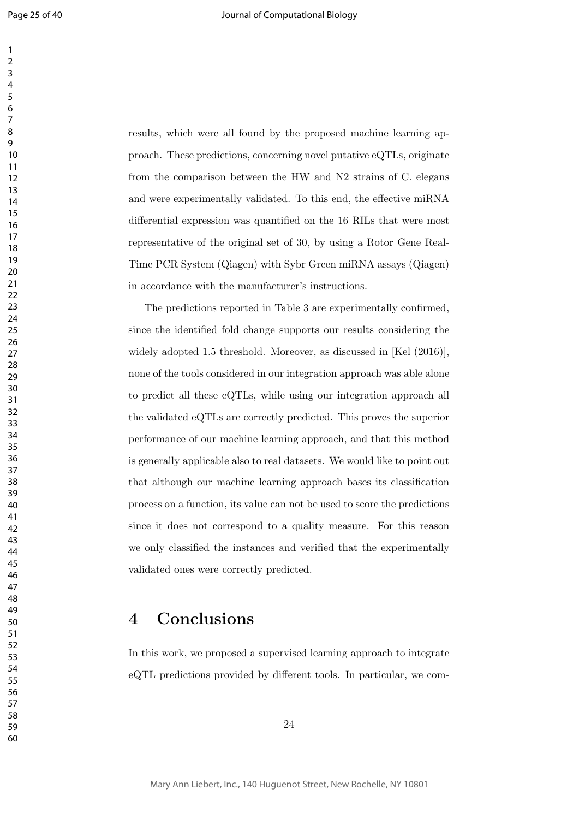results, which were all found by the proposed machine learning approach. These predictions, concerning novel putative eQTLs, originate from the comparison between the HW and N2 strains of C. elegans and were experimentally validated. To this end, the effective miRNA differential expression was quantified on the 16 RILs that were most representative of the original set of 30, by using a Rotor Gene Real-Time PCR System (Qiagen) with Sybr Green miRNA assays (Qiagen) in accordance with the manufacturer's instructions.

The predictions reported in Table 3 are experimentally confirmed, since the identified fold change supports our results considering the widely adopted 1.5 threshold. Moreover, as discussed in [Kel  $(2016)$ ], none of the tools considered in our integration approach was able alone to predict all these eQTLs, while using our integration approach all the validated eQTLs are correctly predicted. This proves the superior performance of our machine learning approach, and that this method is generally applicable also to real datasets. We would like to point out that although our machine learning approach bases its classification process on a function, its value can not be used to score the predictions since it does not correspond to a quality measure. For this reason we only classified the instances and verified that the experimentally validated ones were correctly predicted.

### **4 Conclusions**

In this work, we proposed a supervised learning approach to integrate eQTL predictions provided by different tools. In particular, we com-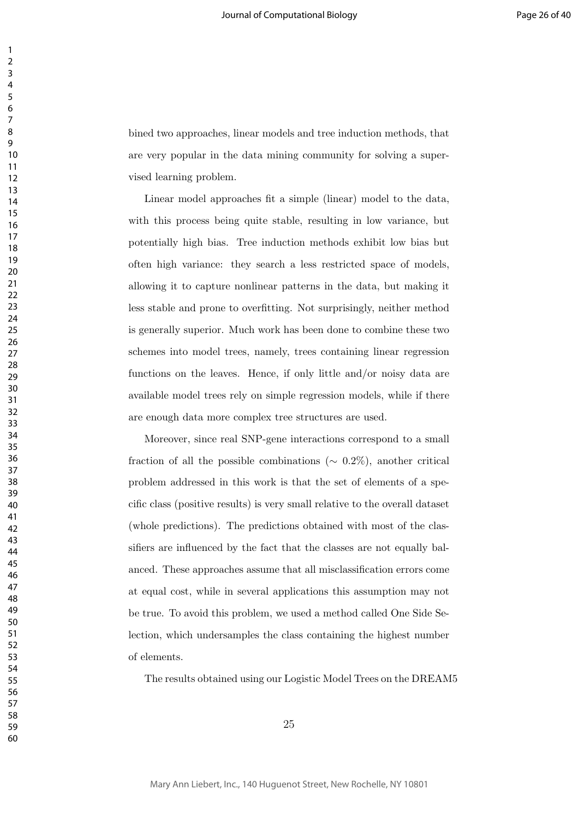bined two approaches, linear models and tree induction methods, that are very popular in the data mining community for solving a supervised learning problem.

Linear model approaches fit a simple (linear) model to the data, with this process being quite stable, resulting in low variance, but potentially high bias. Tree induction methods exhibit low bias but often high variance: they search a less restricted space of models, allowing it to capture nonlinear patterns in the data, but making it less stable and prone to overfitting. Not surprisingly, neither method is generally superior. Much work has been done to combine these two schemes into model trees, namely, trees containing linear regression functions on the leaves. Hence, if only little and/or noisy data are available model trees rely on simple regression models, while if there are enough data more complex tree structures are used.

Moreover, since real SNP-gene interactions correspond to a small fraction of all the possible combinations ( $\sim$  0.2%), another critical problem addressed in this work is that the set of elements of a specific class (positive results) is very small relative to the overall dataset (whole predictions). The predictions obtained with most of the classifiers are influenced by the fact that the classes are not equally balanced. These approaches assume that all misclassification errors come at equal cost, while in several applications this assumption may not be true. To avoid this problem, we used a method called One Side Selection, which undersamples the class containing the highest number of elements.

The results obtained using our Logistic Model Trees on the DREAM5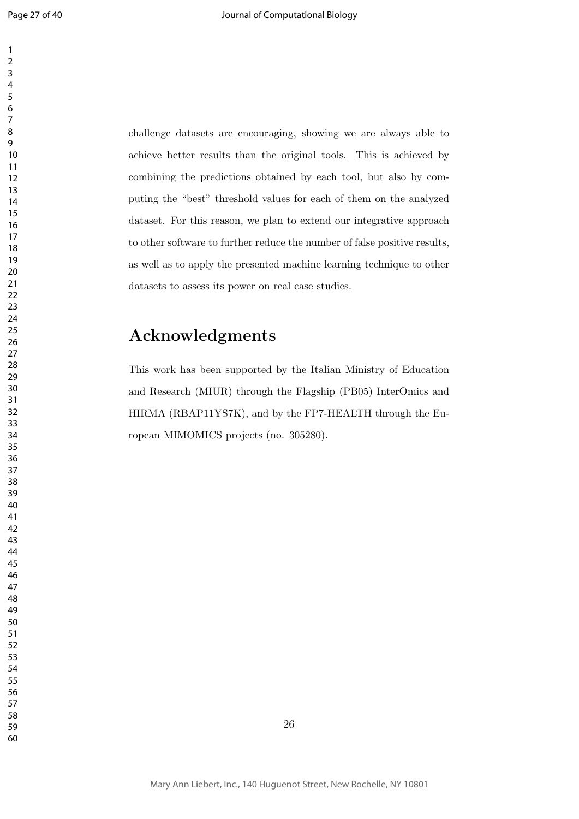challenge datasets are encouraging, showing we are always able to achieve better results than the original tools. This is achieved by combining the predictions obtained by each tool, but also by computing the "best" threshold values for each of them on the analyzed dataset. For this reason, we plan to extend our integrative approach to other software to further reduce the number of false positive results, as well as to apply the presented machine learning technique to other datasets to assess its power on real case studies.

### **Acknowledgments**

This work has been supported by the Italian Ministry of Education and Research (MIUR) through the Flagship (PB05) InterOmics and HIRMA (RBAP11YS7K), and by the FP7-HEALTH through the European MIMOMICS projects (no. 305280).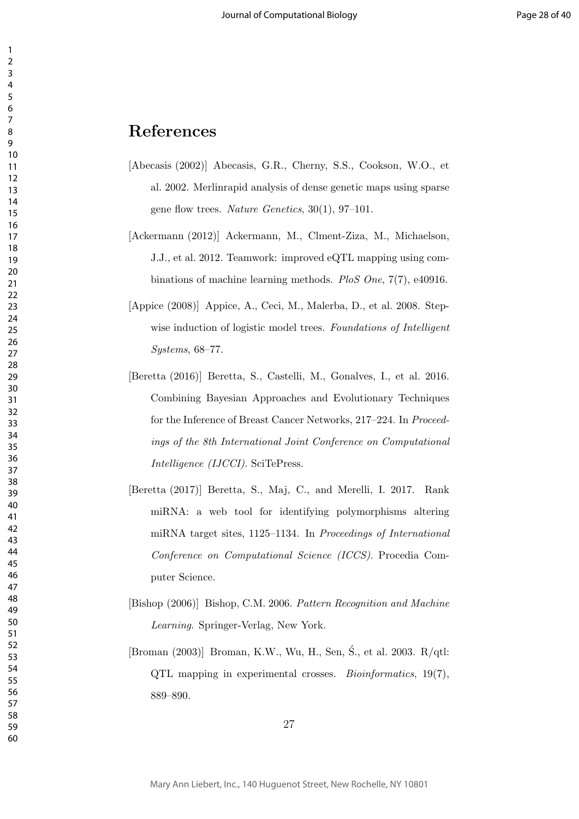### **References**

- [Abecasis (2002)] Abecasis, G.R., Cherny, S.S., Cookson, W.O., et al. 2002. Merlinrapid analysis of dense genetic maps using sparse gene flow trees. *Nature Genetics*, 30(1), 97–101.
- [Ackermann (2012)] Ackermann, M., Clment-Ziza, M., Michaelson, J.J., et al. 2012. Teamwork: improved eQTL mapping using combinations of machine learning methods. *PloS One*, 7(7), e40916.
- [Appice (2008)] Appice, A., Ceci, M., Malerba, D., et al. 2008. Stepwise induction of logistic model trees. *Foundations of Intelligent Systems*, 68–77.
- [Beretta (2016)] Beretta, S., Castelli, M., Gonalves, I., et al. 2016. Combining Bayesian Approaches and Evolutionary Techniques for the Inference of Breast Cancer Networks, 217–224. In *Proceedings of the 8th International Joint Conference on Computational Intelligence (IJCCI)*. SciTePress.
- [Beretta (2017)] Beretta, S., Maj, C., and Merelli, I. 2017. Rank miRNA: a web tool for identifying polymorphisms altering miRNA target sites, 1125–1134. In *Proceedings of International Conference on Computational Science (ICCS)*. Procedia Computer Science.
- [Bishop (2006)] Bishop, C.M. 2006. *Pattern Recognition and Machine Learning*. Springer-Verlag, New York.
- [Broman (2003)] Broman, K.W., Wu, H., Sen, Ś., et al. 2003. R/qtl: QTL mapping in experimental crosses. *Bioinformatics*, 19(7), 889–890.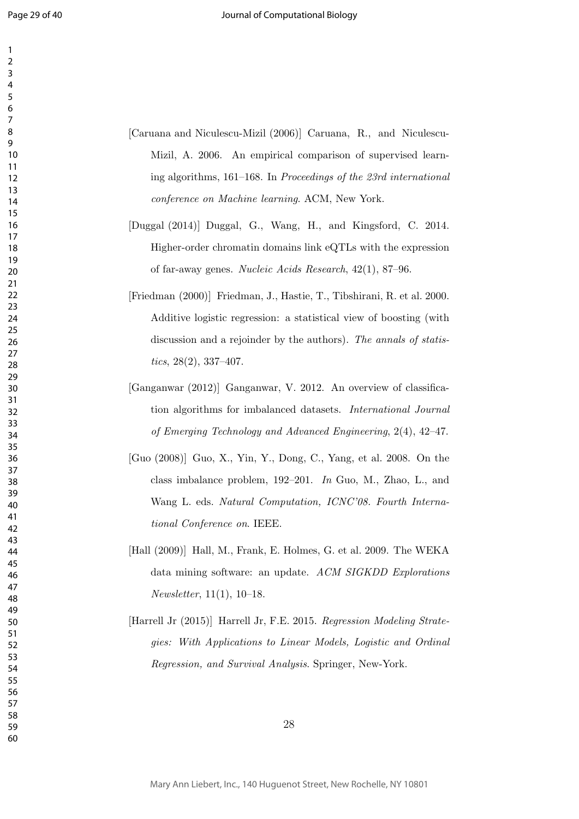| 1<br>$\overline{c}$   |  |
|-----------------------|--|
| 3<br>4<br>5           |  |
| 6                     |  |
| 7<br>8<br>9           |  |
| 10<br>11              |  |
| 12<br>13              |  |
| $\overline{14}$<br>15 |  |
| 16<br>17              |  |
| 18<br>19              |  |
| 20<br>$\overline{21}$ |  |
| $\frac{1}{2}$<br>23   |  |
| 24<br>25              |  |
| 26<br>27<br>28        |  |
| 29<br>30              |  |
| 31<br>32              |  |
| 33<br>34              |  |
| 35<br>36              |  |
| 37<br>28              |  |
| 39<br>40              |  |
| 41<br>42              |  |
| 43<br>44              |  |
| 45<br>46              |  |
| 47<br>48<br>49        |  |
| 50<br>51              |  |
| 52<br>53              |  |
| 54<br>55              |  |
| 56<br>57              |  |
| 58<br>59              |  |
| 60                    |  |

- [Caruana and Niculescu-Mizil (2006)] Caruana, R., and Niculescu-Mizil, A. 2006. An empirical comparison of supervised learning algorithms, 161–168. In *Proceedings of the 23rd international conference on Machine learning*. ACM, New York.
- [Duggal (2014)] Duggal, G., Wang, H., and Kingsford, C. 2014. Higher-order chromatin domains link eQTLs with the expression of far-away genes. *Nucleic Acids Research*, 42(1), 87–96.
- [Friedman (2000)] Friedman, J., Hastie, T., Tibshirani, R. et al. 2000. Additive logistic regression: a statistical view of boosting (with discussion and a rejoinder by the authors). *The annals of statistics*, 28(2), 337–407.
- [Ganganwar (2012)] Ganganwar, V. 2012. An overview of classification algorithms for imbalanced datasets. *International Journal of Emerging Technology and Advanced Engineering*, 2(4), 42–47.
- [Guo (2008)] Guo, X., Yin, Y., Dong, C., Yang, et al. 2008. On the class imbalance problem, 192–201. *In* Guo, M., Zhao, L., and Wang L. eds. *Natural Computation, ICNC'08. Fourth International Conference on*. IEEE.
- [Hall (2009)] Hall, M., Frank, E. Holmes, G. et al. 2009. The WEKA data mining software: an update. *ACM SIGKDD Explorations Newsletter*, 11(1), 10–18.
- [Harrell Jr (2015)] Harrell Jr, F.E. 2015. *Regression Modeling Strategies: With Applications to Linear Models, Logistic and Ordinal Regression, and Survival Analysis*. Springer, New-York.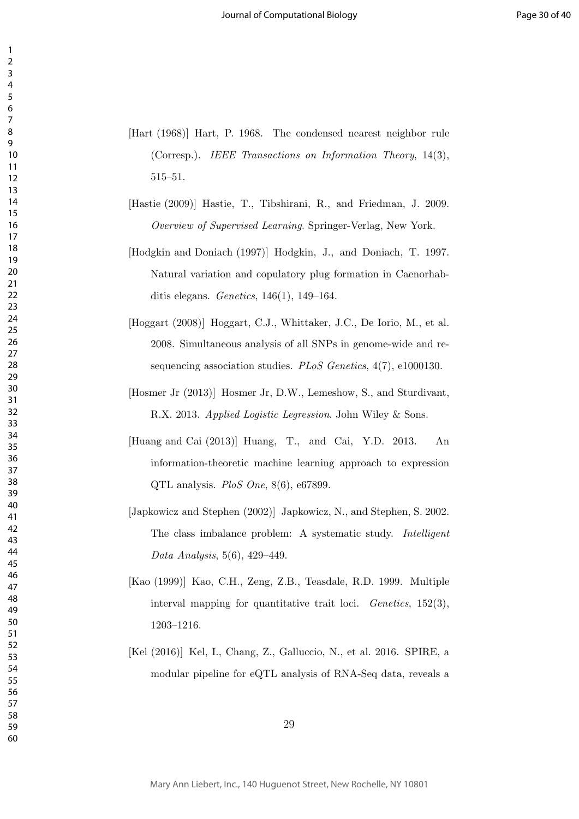- [Hart (1968)] Hart, P. 1968. The condensed nearest neighbor rule (Corresp.). *IEEE Transactions on Information Theory*, 14(3), 515–51.
- [Hastie (2009)] Hastie, T., Tibshirani, R., and Friedman, J. 2009. *Overview of Supervised Learning*. Springer-Verlag, New York.
- [Hodgkin and Doniach (1997)] Hodgkin, J., and Doniach, T. 1997. Natural variation and copulatory plug formation in Caenorhabditis elegans. *Genetics*, 146(1), 149–164.
- [Hoggart (2008)] Hoggart, C.J., Whittaker, J.C., De Iorio, M., et al. 2008. Simultaneous analysis of all SNPs in genome-wide and resequencing association studies. *PLoS Genetics*, 4(7), e1000130.
- [Hosmer Jr (2013)] Hosmer Jr, D.W., Lemeshow, S., and Sturdivant, R.X. 2013. *Applied Logistic Legression*. John Wiley & Sons.
- [Huang and Cai (2013)] Huang, T., and Cai, Y.D. 2013. An information-theoretic machine learning approach to expression QTL analysis. *PloS One*, 8(6), e67899.
- [Japkowicz and Stephen (2002)] Japkowicz, N., and Stephen, S. 2002. The class imbalance problem: A systematic study. *Intelligent Data Analysis*, 5(6), 429–449.
- [Kao (1999)] Kao, C.H., Zeng, Z.B., Teasdale, R.D. 1999. Multiple interval mapping for quantitative trait loci. *Genetics*, 152(3), 1203–1216.
- [Kel (2016)] Kel, I., Chang, Z., Galluccio, N., et al. 2016. SPIRE, a modular pipeline for eQTL analysis of RNA-Seq data, reveals a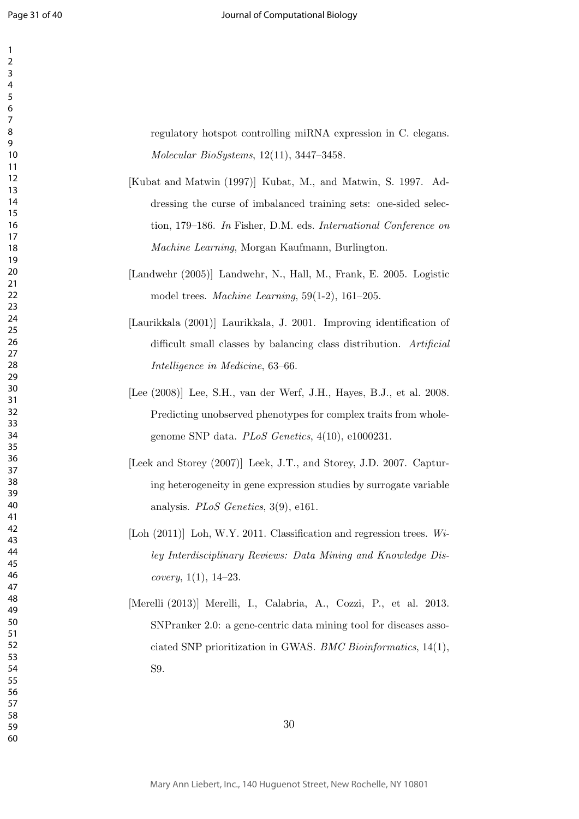regulatory hotspot controlling miRNA expression in C. elegans. *Molecular BioSystems*, 12(11), 3447–3458.

- [Kubat and Matwin (1997)] Kubat, M., and Matwin, S. 1997. Addressing the curse of imbalanced training sets: one-sided selection, 179–186. *In* Fisher, D.M. eds. *International Conference on Machine Learning*, Morgan Kaufmann, Burlington.
- [Landwehr (2005)] Landwehr, N., Hall, M., Frank, E. 2005. Logistic model trees. *Machine Learning*, 59(1-2), 161–205.
- [Laurikkala (2001)] Laurikkala, J. 2001. Improving identification of difficult small classes by balancing class distribution. *Artificial Intelligence in Medicine*, 63–66.
- [Lee (2008)] Lee, S.H., van der Werf, J.H., Hayes, B.J., et al. 2008. Predicting unobserved phenotypes for complex traits from wholegenome SNP data. *PLoS Genetics*, 4(10), e1000231.
- [Leek and Storey (2007)] Leek, J.T., and Storey, J.D. 2007. Capturing heterogeneity in gene expression studies by surrogate variable analysis. *PLoS Genetics*, 3(9), e161.
- [Loh (2011)] Loh, W.Y. 2011. Classification and regression trees. Wi*ley Interdisciplinary Reviews: Data Mining and Knowledge Discovery*, 1(1), 14–23.
- [Merelli (2013)] Merelli, I., Calabria, A., Cozzi, P., et al. 2013. SNPranker 2.0: a gene-centric data mining tool for diseases associated SNP prioritization in GWAS. *BMC Bioinformatics*, 14(1), S9.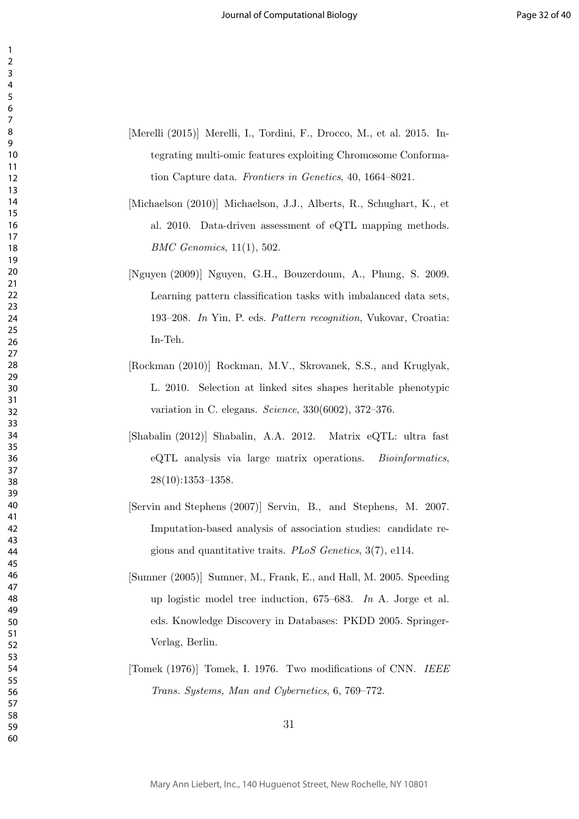- [Merelli (2015)] Merelli, I., Tordini, F., Drocco, M., et al. 2015. Integrating multi-omic features exploiting Chromosome Conformation Capture data. *Frontiers in Genetics*, 40, 1664–8021.
- [Michaelson (2010)] Michaelson, J.J., Alberts, R., Schughart, K., et al. 2010. Data-driven assessment of eQTL mapping methods. *BMC Genomics*, 11(1), 502.
- [Nguyen (2009)] Nguyen, G.H., Bouzerdoum, A., Phung, S. 2009. Learning pattern classification tasks with imbalanced data sets, 193–208. *In* Yin, P. eds. *Pattern recognition*, Vukovar, Croatia: In-Teh.
- [Rockman (2010)] Rockman, M.V., Skrovanek, S.S., and Kruglyak, L. 2010. Selection at linked sites shapes heritable phenotypic variation in C. elegans. *Science*, 330(6002), 372–376.
- [Shabalin (2012)] Shabalin, A.A. 2012. Matrix eQTL: ultra fast eQTL analysis via large matrix operations. *Bioinformatics*, 28(10):1353–1358.
- [Servin and Stephens (2007)] Servin, B., and Stephens, M. 2007. Imputation-based analysis of association studies: candidate regions and quantitative traits. *PLoS Genetics*, 3(7), e114.
- [Sumner (2005)] Sumner, M., Frank, E., and Hall, M. 2005. Speeding up logistic model tree induction, 675–683. *In* A. Jorge et al. eds. Knowledge Discovery in Databases: PKDD 2005. Springer-Verlag, Berlin.
- [Tomek (1976)] Tomek, I. 1976. Two modifications of CNN. *IEEE Trans. Systems, Man and Cybernetics*, 6, 769–772.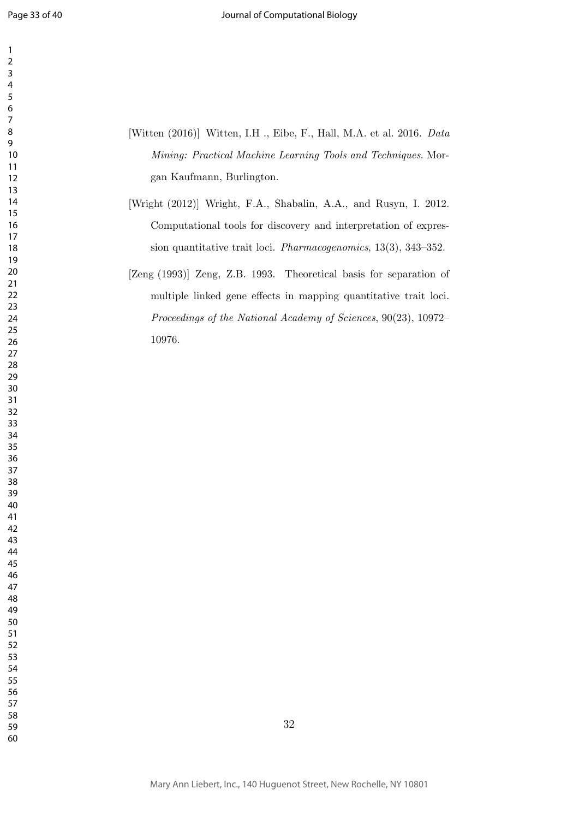- [Witten (2016)] Witten, I.H ., Eibe, F., Hall, M.A. et al. 2016. *Data Mining: Practical Machine Learning Tools and Techniques*. Morgan Kaufmann, Burlington.
- [Wright (2012)] Wright, F.A., Shabalin, A.A., and Rusyn, I. 2012. Computational tools for discovery and interpretation of expression quantitative trait loci. *Pharmacogenomics*, 13(3), 343–352.
- [Zeng (1993)] Zeng, Z.B. 1993. Theoretical basis for separation of multiple linked gene effects in mapping quantitative trait loci. *Proceedings of the National Academy of Sciences*, 90(23), 10972– 10976.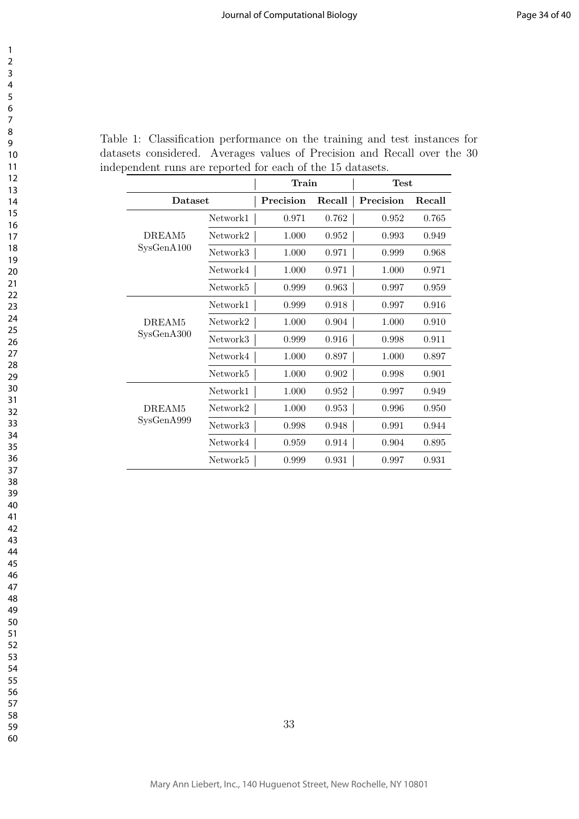|                    |                      | $\operatorname{Train}$ |        | Test      |        |
|--------------------|----------------------|------------------------|--------|-----------|--------|
| Dataset            |                      | Precision              | Recall | Precision | Recall |
|                    | Network1             | 0.971                  | 0.762  | 0.952     | 0.765  |
| DREAM <sub>5</sub> | Network2             | 1.000                  | 0.952  | 0.993     | 0.949  |
| SysGenA100         | Network3             | 1.000                  | 0.971  | 0.999     | 0.968  |
|                    | Network4             | 1.000                  | 0.971  | 1.000     | 0.971  |
|                    | Network5             | 0.999                  | 0.963  | 0.997     | 0.959  |
|                    | Network1             | 0.999                  | 0.918  | 0.997     | 0.916  |
| DREAM <sub>5</sub> | Network2             | 1.000                  | 0.904  | 1.000     | 0.910  |
| SysGenA300         | Network3             | 0.999                  | 0.916  | 0.998     | 0.911  |
|                    | Network4             | 1.000                  | 0.897  | 1.000     | 0.897  |
|                    | Network5             | 1.000                  | 0.902  | 0.998     | 0.901  |
|                    | Network1             | 1.000                  | 0.952  | 0.997     | 0.949  |
| DREAM <sub>5</sub> | Network2             | 1.000                  | 0.953  | 0.996     | 0.950  |
| SysGenA999         | Network3             | 0.998                  | 0.948  | 0.991     | 0.944  |
|                    | Network4             | 0.959                  | 0.914  | 0.904     | 0.895  |
|                    | Network <sup>5</sup> | 0.999                  | 0.931  | 0.997     | 0.931  |

Table 1: Classification performance on the training and test instances for datasets considered. Averages values of Precision and Recall over the 30 independent runs are reported for each of the 15 datasets.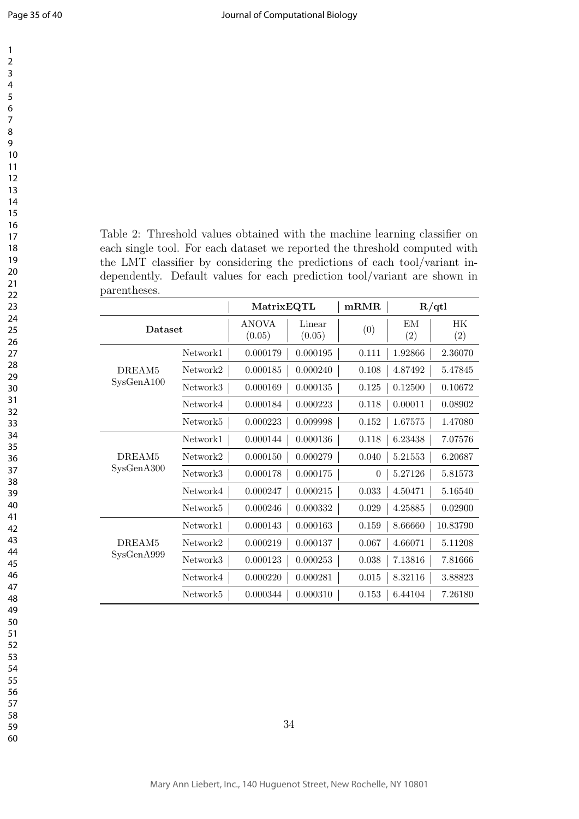| 1                                 |  |
|-----------------------------------|--|
| $\overline{2}$                    |  |
| 3                                 |  |
| 4                                 |  |
| 5<br>ŗ                            |  |
| 6                                 |  |
|                                   |  |
|                                   |  |
| 8                                 |  |
| 9                                 |  |
| 10                                |  |
| 1<br>1                            |  |
| 1<br>$\overline{c}$               |  |
| 3<br>1                            |  |
| 4<br>1                            |  |
| 15                                |  |
| 16                                |  |
| $\overline{z}$<br>1               |  |
| 18                                |  |
|                                   |  |
| 19                                |  |
| 20                                |  |
| $\overline{21}$                   |  |
| $^{22}$                           |  |
| 23                                |  |
| $^{24}$                           |  |
| 25                                |  |
| 26                                |  |
| $^{27}$                           |  |
| 28                                |  |
| 29                                |  |
|                                   |  |
| 30                                |  |
| $\overline{\phantom{0}}$          |  |
| 32                                |  |
| 33                                |  |
| 34                                |  |
| 35                                |  |
| 86                                |  |
| -<br>37                           |  |
| $\ddot{\mathrm{}}$<br>5           |  |
| 39                                |  |
| 40                                |  |
| 41                                |  |
| $\overline{4}$<br>2               |  |
|                                   |  |
| 4.<br>ξ                           |  |
| 44                                |  |
| 45                                |  |
| 46                                |  |
| 47                                |  |
| 48                                |  |
| 49                                |  |
| 50                                |  |
| 51                                |  |
| $\overline{\mathbf{5}}$<br>ľ<br>, |  |
| $\overline{\mathbf{S}}$<br>ľ<br>ξ |  |
|                                   |  |
| $\overline{5}4$<br>l              |  |
| 55<br>l                           |  |
| 56<br>l                           |  |
| 57<br>ľ                           |  |
| 58                                |  |
| ľ<br>59                           |  |

Table 2: Threshold values obtained with the machine learning classifier on each single tool. For each dataset we reported the threshold computed with the LMT classifier by considering the predictions of each tool/variant independently. Default values for each prediction tool/variant are shown in parentheses.

|                    |          | MatrixEQTL      |                  | mRMR     | R/dtl     |           |
|--------------------|----------|-----------------|------------------|----------|-----------|-----------|
| Dataset            |          | ANOVA<br>(0.05) | Linear<br>(0.05) | (0)      | EM<br>(2) | HК<br>(2) |
|                    | Network1 | 0.000179        | 0.000195         | 0.111    | 1.92866   | 2.36070   |
| DREAM <sub>5</sub> | Network2 | 0.000185        | 0.000240         | 0.108    | 4.87492   | 5.47845   |
| SysGenA100         | Network3 | 0.000169        | 0.000135         | 0.125    | 0.12500   | 0.10672   |
|                    | Network4 | 0.000184        | 0.000223         | 0.118    | 0.00011   | 0.08902   |
|                    | Network5 | 0.000223        | 0.009998         | 0.152    | 1.67575   | 1.47080   |
|                    | Network1 | 0.000144        | 0.000136         | 0.118    | 6.23438   | 7.07576   |
| DREAM <sub>5</sub> | Network2 | 0.000150        | 0.000279         | 0.040    | 5.21553   | 6.20687   |
| SysGenA300         | Network3 | 0.000178        | 0.000175         | $\theta$ | 5.27126   | 5.81573   |
|                    | Network4 | 0.000247        | 0.000215         | 0.033    | 4.50471   | 5.16540   |
|                    | Network5 | 0.000246        | 0.000332         | 0.029    | 4.25885   | 0.02900   |
|                    | Network1 | 0.000143        | 0.000163         | 0.159    | 8.66660   | 10.83790  |
| DREAM <sub>5</sub> | Network2 | 0.000219        | 0.000137         | 0.067    | 4.66071   | 5.11208   |
| SysGenA999         | Network3 | 0.000123        | 0.000253         | 0.038    | 7.13816   | 7.81666   |
|                    | Network4 | 0.000220        | 0.000281         | 0.015    | 8.32116   | 3.88823   |
|                    | Network5 | 0.000344        | 0.000310         | 0.153    | 6.44104   | 7.26180   |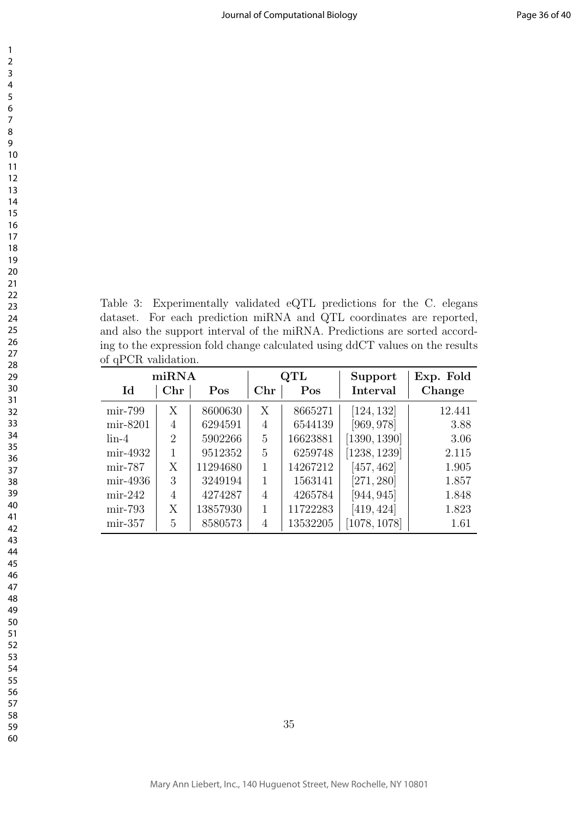Table 3: Experimentally validated eQTL predictions for the C. elegans dataset. For each prediction miRNA and QTL coordinates are reported, and also the support interval of the miRNA. Predictions are sorted according to the expression fold change calculated using ddCT values on the results of qPCR validation.

| miRNA                      |              |          | $\operatorname{QTL}$ |          | Support      | Exp. Fold |
|----------------------------|--------------|----------|----------------------|----------|--------------|-----------|
| $\mathop{\rm Id}\nolimits$ | $_{\rm Chr}$ | Pos      | ${\rm Chr}$          | Pos      | Interval     | Change    |
| $\min$ -799                | Х            | 8600630  | X                    | 8665271  | [124, 132]   | 12.441    |
| mir-8201                   | 4            | 6294591  | 4                    | 6544139  | [969, 978]   | 3.88      |
| $\lim -4$                  | 2            | 5902266  | 5                    | 16623881 | [1390, 1390] | 3.06      |
| mir-4932                   | 1            | 9512352  | 5                    | 6259748  | [1238, 1239] | 2.115     |
| $\min$ -787                | X            | 11294680 |                      | 14267212 | [457, 462]   | 1.905     |
| mir-4936                   | 3            | 3249194  |                      | 1563141  | [271, 280]   | 1.857     |
| $\min-242$                 | 4            | 4274287  | 4                    | 4265784  | [944, 945]   | 1.848     |
| $\min$ -793                | Χ            | 13857930 | 1                    | 11722283 | [419, 424]   | 1.823     |
| $\min-357$                 | 5            | 8580573  | 4                    | 13532205 | [1078, 1078] | 1.61      |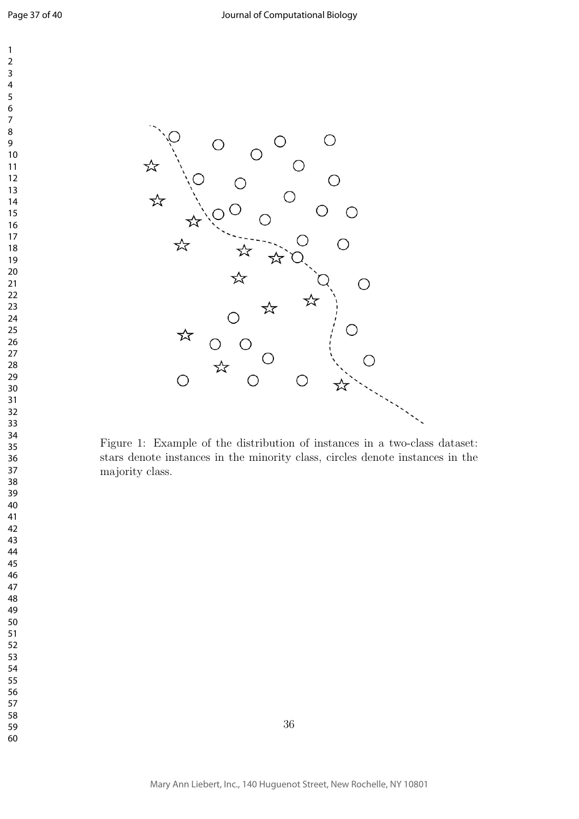

Figure 1: Example of the distribution of instances in a two-class dataset: stars denote instances in the minority class, circles denote instances in the majority class.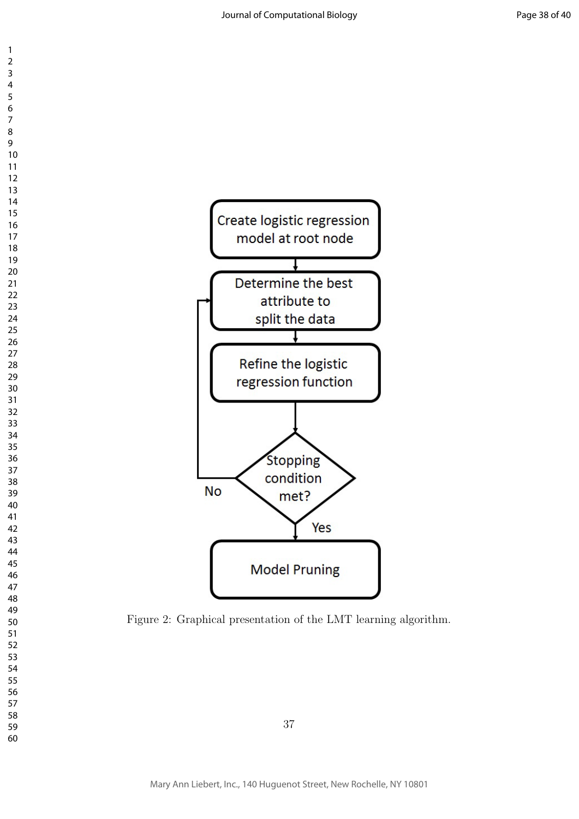



Figure 2: Graphical presentation of the LMT learning algorithm.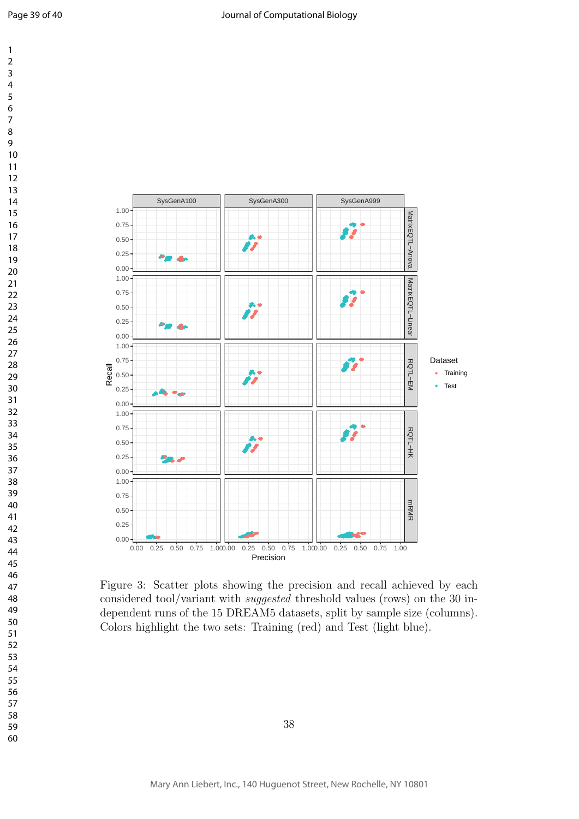



Figure 3: Scatter plots showing the precision and recall achieved by each considered tool/variant with *suggested* threshold values (rows) on the 30 independent runs of the 15 DREAM5 datasets, split by sample size (columns). Colors highlight the two sets: Training (red) and Test (light blue).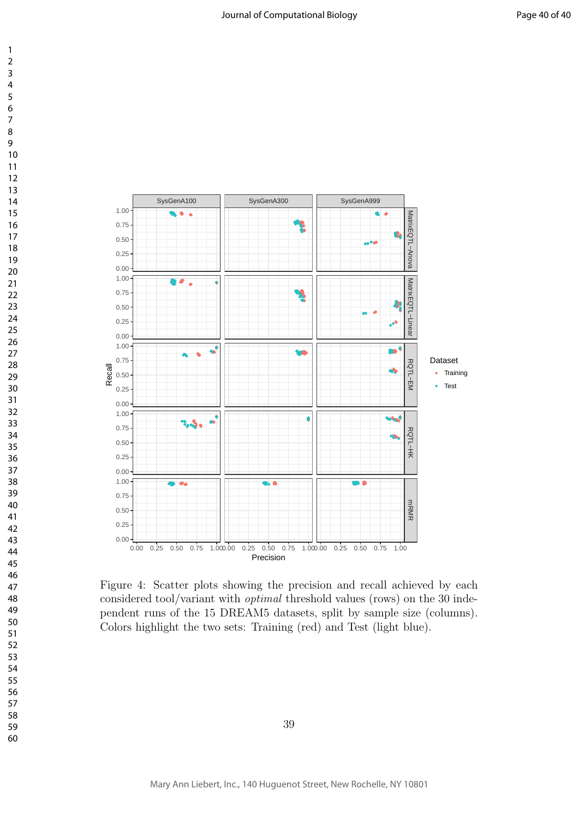



Figure 4: Scatter plots showing the precision and recall achieved by each considered tool/variant with *optimal* threshold values (rows) on the 30 independent runs of the 15 DREAM5 datasets, split by sample size (columns). Colors highlight the two sets: Training (red) and Test (light blue).